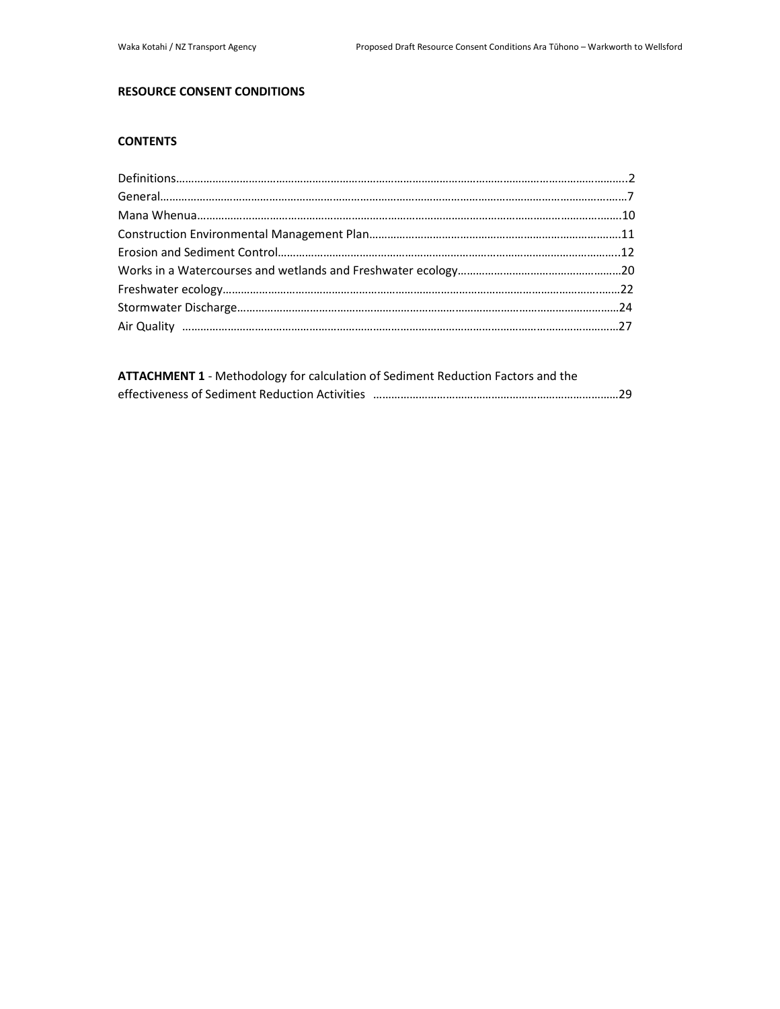# **RESOURCE CONSENT CONDITIONS**

# **CONTENTS**

| ATTACHMENT 1 - Methodology for calculation of Sediment Reduction Factors and the |  |
|----------------------------------------------------------------------------------|--|
|                                                                                  |  |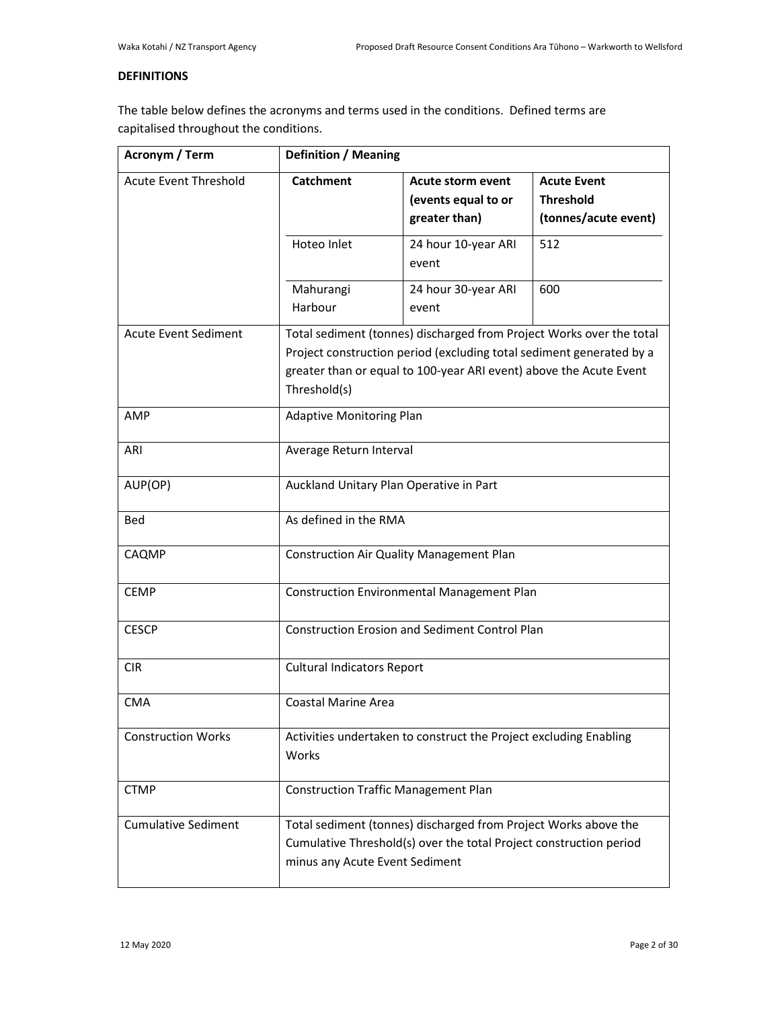# **DEFINITIONS**

The table below defines the acronyms and terms used in the conditions. Defined terms are capitalised throughout the conditions.

| Acronym / Term               | <b>Definition / Meaning</b>                                                                                                                                                                                                        |                              |     |  |
|------------------------------|------------------------------------------------------------------------------------------------------------------------------------------------------------------------------------------------------------------------------------|------------------------------|-----|--|
| <b>Acute Event Threshold</b> | <b>Catchment</b><br><b>Acute Event</b><br><b>Acute storm event</b><br><b>Threshold</b><br>(events equal to or<br>greater than)<br>(tonnes/acute event)                                                                             |                              |     |  |
|                              | Hoteo Inlet                                                                                                                                                                                                                        | 24 hour 10-year ARI<br>event | 512 |  |
|                              | Mahurangi<br>Harbour                                                                                                                                                                                                               | 24 hour 30-year ARI<br>event | 600 |  |
| <b>Acute Event Sediment</b>  | Total sediment (tonnes) discharged from Project Works over the total<br>Project construction period (excluding total sediment generated by a<br>greater than or equal to 100-year ARI event) above the Acute Event<br>Threshold(s) |                              |     |  |
| AMP                          | <b>Adaptive Monitoring Plan</b>                                                                                                                                                                                                    |                              |     |  |
| ARI                          | Average Return Interval                                                                                                                                                                                                            |                              |     |  |
| AUP(OP)                      | Auckland Unitary Plan Operative in Part                                                                                                                                                                                            |                              |     |  |
| Bed                          | As defined in the RMA                                                                                                                                                                                                              |                              |     |  |
| CAQMP                        | Construction Air Quality Management Plan                                                                                                                                                                                           |                              |     |  |
| <b>CEMP</b>                  | Construction Environmental Management Plan                                                                                                                                                                                         |                              |     |  |
| <b>CESCP</b>                 | <b>Construction Erosion and Sediment Control Plan</b>                                                                                                                                                                              |                              |     |  |
| <b>CIR</b>                   | <b>Cultural Indicators Report</b>                                                                                                                                                                                                  |                              |     |  |
| <b>CMA</b>                   | <b>Coastal Marine Area</b>                                                                                                                                                                                                         |                              |     |  |
| <b>Construction Works</b>    | Activities undertaken to construct the Project excluding Enabling<br>Works                                                                                                                                                         |                              |     |  |
| <b>CTMP</b>                  | <b>Construction Traffic Management Plan</b>                                                                                                                                                                                        |                              |     |  |
| <b>Cumulative Sediment</b>   | Total sediment (tonnes) discharged from Project Works above the<br>Cumulative Threshold(s) over the total Project construction period<br>minus any Acute Event Sediment                                                            |                              |     |  |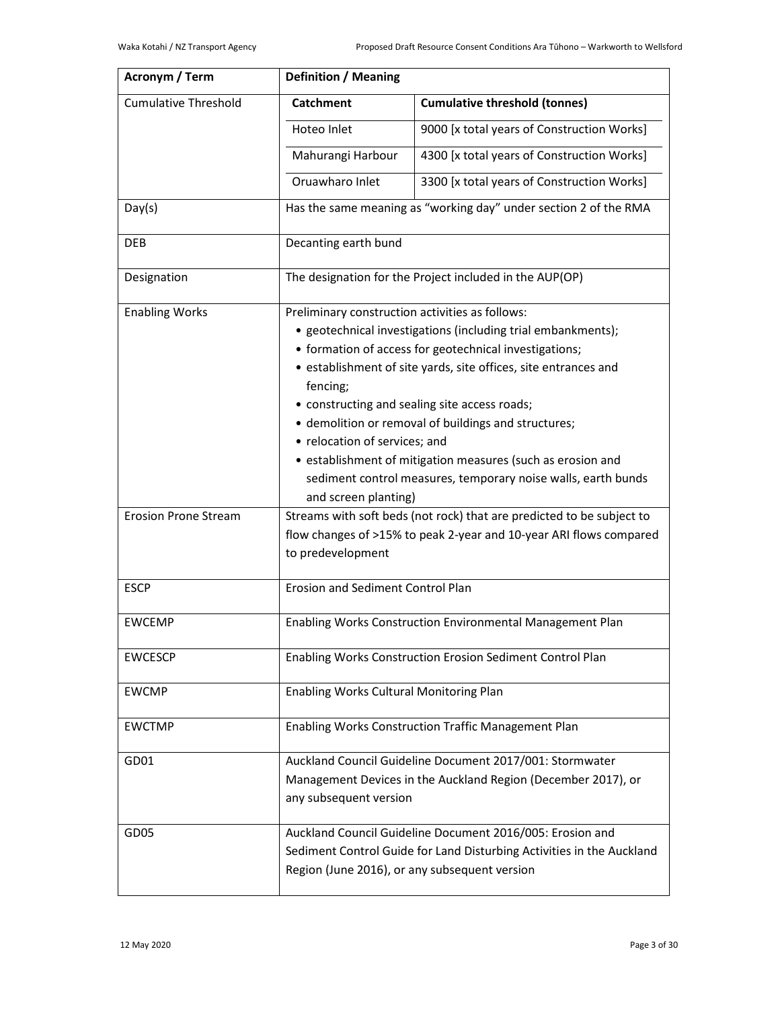| Acronym / Term              | <b>Definition / Meaning</b>                                                                                               |                                                                       |  |  |
|-----------------------------|---------------------------------------------------------------------------------------------------------------------------|-----------------------------------------------------------------------|--|--|
| <b>Cumulative Threshold</b> | <b>Cumulative threshold (tonnes)</b><br><b>Catchment</b>                                                                  |                                                                       |  |  |
|                             | Hoteo Inlet                                                                                                               | 9000 [x total years of Construction Works]                            |  |  |
|                             | Mahurangi Harbour                                                                                                         | 4300 [x total years of Construction Works]                            |  |  |
|                             | Oruawharo Inlet                                                                                                           | 3300 [x total years of Construction Works]                            |  |  |
| Day(s)                      |                                                                                                                           | Has the same meaning as "working day" under section 2 of the RMA      |  |  |
| <b>DEB</b>                  | Decanting earth bund                                                                                                      |                                                                       |  |  |
| Designation                 |                                                                                                                           | The designation for the Project included in the AUP(OP)               |  |  |
| <b>Enabling Works</b>       | Preliminary construction activities as follows:                                                                           |                                                                       |  |  |
|                             |                                                                                                                           | • geotechnical investigations (including trial embankments);          |  |  |
|                             |                                                                                                                           | • formation of access for geotechnical investigations;                |  |  |
|                             | fencing;                                                                                                                  | • establishment of site yards, site offices, site entrances and       |  |  |
|                             |                                                                                                                           |                                                                       |  |  |
|                             | • constructing and sealing site access roads;<br>• demolition or removal of buildings and structures;                     |                                                                       |  |  |
|                             | • relocation of services; and                                                                                             |                                                                       |  |  |
|                             | • establishment of mitigation measures (such as erosion and                                                               |                                                                       |  |  |
|                             | sediment control measures, temporary noise walls, earth bunds                                                             |                                                                       |  |  |
|                             | and screen planting)                                                                                                      |                                                                       |  |  |
| <b>Erosion Prone Stream</b> |                                                                                                                           | Streams with soft beds (not rock) that are predicted to be subject to |  |  |
|                             | flow changes of >15% to peak 2-year and 10-year ARI flows compared                                                        |                                                                       |  |  |
|                             | to predevelopment                                                                                                         |                                                                       |  |  |
| <b>ESCP</b>                 | <b>Erosion and Sediment Control Plan</b>                                                                                  |                                                                       |  |  |
| <b>EWCEMP</b>               | Enabling Works Construction Environmental Management Plan                                                                 |                                                                       |  |  |
| <b>EWCESCP</b>              | Enabling Works Construction Erosion Sediment Control Plan                                                                 |                                                                       |  |  |
| <b>EWCMP</b>                | Enabling Works Cultural Monitoring Plan                                                                                   |                                                                       |  |  |
| <b>EWCTMP</b>               | Enabling Works Construction Traffic Management Plan                                                                       |                                                                       |  |  |
| GD01                        | Auckland Council Guideline Document 2017/001: Stormwater<br>Management Devices in the Auckland Region (December 2017), or |                                                                       |  |  |
|                             | any subsequent version                                                                                                    |                                                                       |  |  |
| GD <sub>05</sub>            |                                                                                                                           | Auckland Council Guideline Document 2016/005: Erosion and             |  |  |
|                             | Sediment Control Guide for Land Disturbing Activities in the Auckland<br>Region (June 2016), or any subsequent version    |                                                                       |  |  |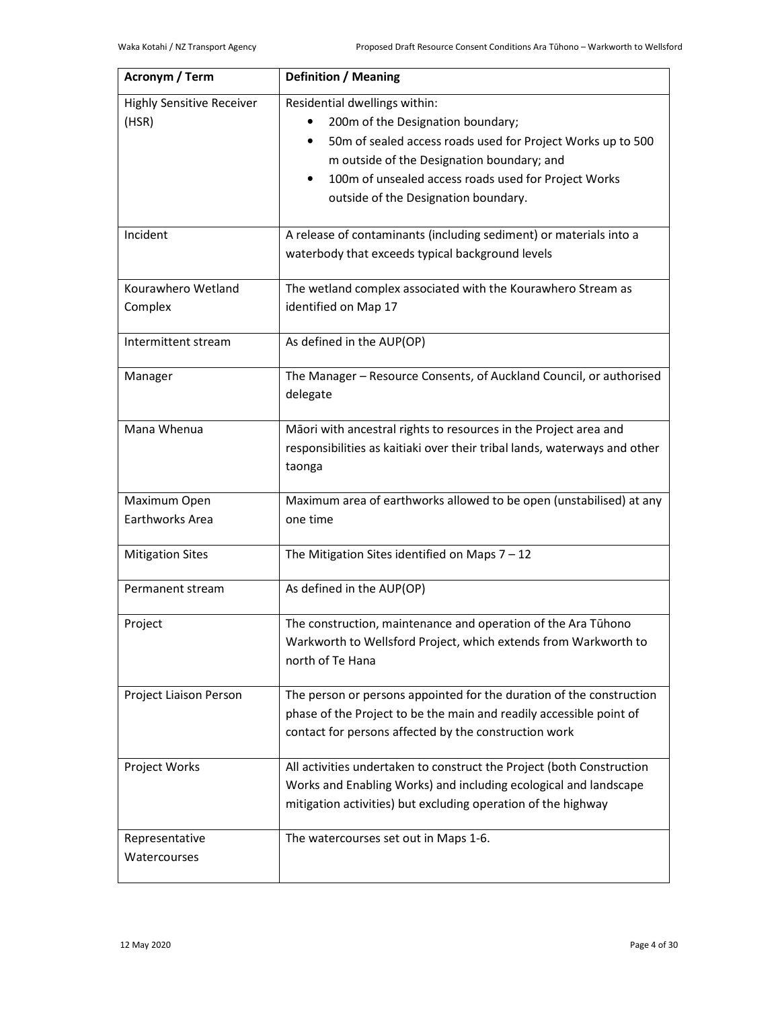| Acronym / Term                            | <b>Definition / Meaning</b>                                                                                                                                                                                                                                                                               |
|-------------------------------------------|-----------------------------------------------------------------------------------------------------------------------------------------------------------------------------------------------------------------------------------------------------------------------------------------------------------|
| <b>Highly Sensitive Receiver</b><br>(HSR) | Residential dwellings within:<br>200m of the Designation boundary;<br>50m of sealed access roads used for Project Works up to 500<br>$\bullet$<br>m outside of the Designation boundary; and<br>100m of unsealed access roads used for Project Works<br>$\bullet$<br>outside of the Designation boundary. |
| Incident                                  | A release of contaminants (including sediment) or materials into a<br>waterbody that exceeds typical background levels                                                                                                                                                                                    |
| Kourawhero Wetland<br>Complex             | The wetland complex associated with the Kourawhero Stream as<br>identified on Map 17                                                                                                                                                                                                                      |
| Intermittent stream                       | As defined in the AUP(OP)                                                                                                                                                                                                                                                                                 |
| Manager                                   | The Manager - Resource Consents, of Auckland Council, or authorised<br>delegate                                                                                                                                                                                                                           |
| Mana Whenua                               | Māori with ancestral rights to resources in the Project area and<br>responsibilities as kaitiaki over their tribal lands, waterways and other<br>taonga                                                                                                                                                   |
| Maximum Open                              | Maximum area of earthworks allowed to be open (unstabilised) at any                                                                                                                                                                                                                                       |
| Earthworks Area                           | one time                                                                                                                                                                                                                                                                                                  |
| <b>Mitigation Sites</b>                   | The Mitigation Sites identified on Maps $7 - 12$                                                                                                                                                                                                                                                          |
| Permanent stream                          | As defined in the AUP(OP)                                                                                                                                                                                                                                                                                 |
| Project                                   | The construction, maintenance and operation of the Ara Tūhono<br>Warkworth to Wellsford Project, which extends from Warkworth to<br>north of Te Hana                                                                                                                                                      |
| Project Liaison Person                    | The person or persons appointed for the duration of the construction<br>phase of the Project to be the main and readily accessible point of<br>contact for persons affected by the construction work                                                                                                      |
| Project Works                             | All activities undertaken to construct the Project (both Construction<br>Works and Enabling Works) and including ecological and landscape<br>mitigation activities) but excluding operation of the highway                                                                                                |
| Representative<br>Watercourses            | The watercourses set out in Maps 1-6.                                                                                                                                                                                                                                                                     |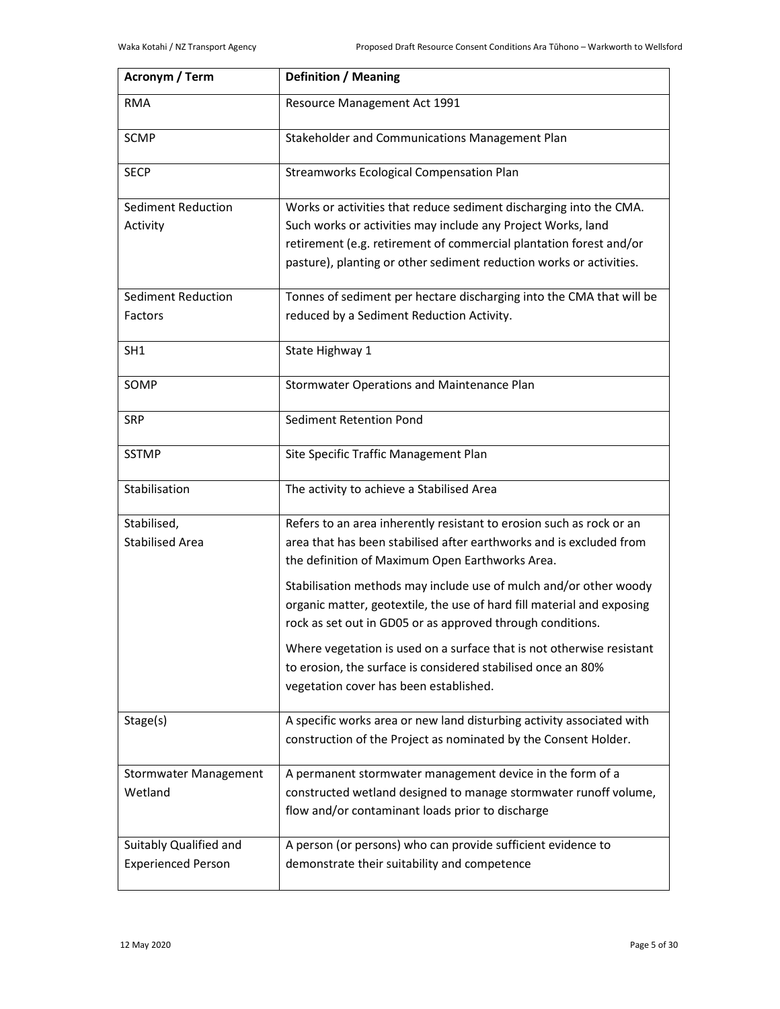| Acronym / Term                                      | <b>Definition / Meaning</b>                                                                                                                                                                                                                                                     |
|-----------------------------------------------------|---------------------------------------------------------------------------------------------------------------------------------------------------------------------------------------------------------------------------------------------------------------------------------|
| <b>RMA</b>                                          | Resource Management Act 1991                                                                                                                                                                                                                                                    |
| <b>SCMP</b>                                         | Stakeholder and Communications Management Plan                                                                                                                                                                                                                                  |
| <b>SECP</b>                                         | Streamworks Ecological Compensation Plan                                                                                                                                                                                                                                        |
| Sediment Reduction<br>Activity                      | Works or activities that reduce sediment discharging into the CMA.<br>Such works or activities may include any Project Works, land<br>retirement (e.g. retirement of commercial plantation forest and/or<br>pasture), planting or other sediment reduction works or activities. |
| Sediment Reduction                                  | Tonnes of sediment per hectare discharging into the CMA that will be                                                                                                                                                                                                            |
| Factors                                             | reduced by a Sediment Reduction Activity.                                                                                                                                                                                                                                       |
| SH <sub>1</sub>                                     | State Highway 1                                                                                                                                                                                                                                                                 |
| SOMP                                                | Stormwater Operations and Maintenance Plan                                                                                                                                                                                                                                      |
| <b>SRP</b>                                          | Sediment Retention Pond                                                                                                                                                                                                                                                         |
| <b>SSTMP</b>                                        | Site Specific Traffic Management Plan                                                                                                                                                                                                                                           |
| Stabilisation                                       | The activity to achieve a Stabilised Area                                                                                                                                                                                                                                       |
| Stabilised,                                         | Refers to an area inherently resistant to erosion such as rock or an                                                                                                                                                                                                            |
| <b>Stabilised Area</b>                              | area that has been stabilised after earthworks and is excluded from<br>the definition of Maximum Open Earthworks Area.                                                                                                                                                          |
|                                                     | Stabilisation methods may include use of mulch and/or other woody<br>organic matter, geotextile, the use of hard fill material and exposing<br>rock as set out in GD05 or as approved through conditions.                                                                       |
|                                                     | Where vegetation is used on a surface that is not otherwise resistant<br>to erosion, the surface is considered stabilised once an 80%<br>vegetation cover has been established.                                                                                                 |
| Stage(s)                                            | A specific works area or new land disturbing activity associated with<br>construction of the Project as nominated by the Consent Holder.                                                                                                                                        |
| <b>Stormwater Management</b><br>Wetland             | A permanent stormwater management device in the form of a<br>constructed wetland designed to manage stormwater runoff volume,<br>flow and/or contaminant loads prior to discharge                                                                                               |
| Suitably Qualified and<br><b>Experienced Person</b> | A person (or persons) who can provide sufficient evidence to<br>demonstrate their suitability and competence                                                                                                                                                                    |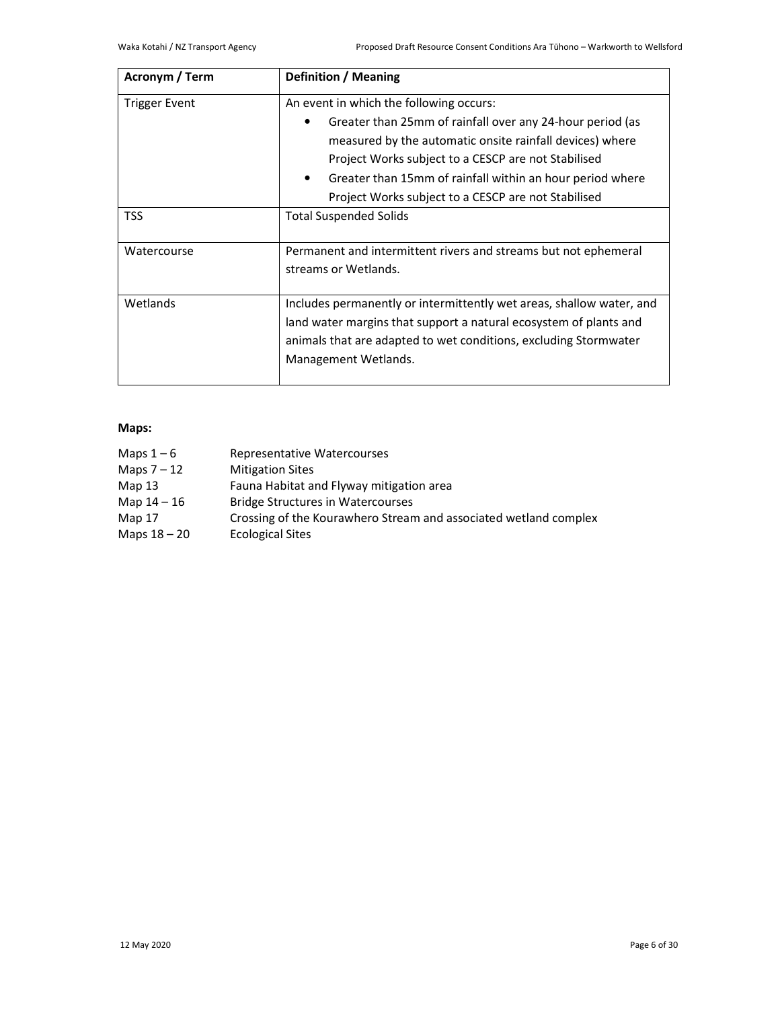| Acronym / Term | <b>Definition / Meaning</b>                                            |  |  |
|----------------|------------------------------------------------------------------------|--|--|
| Trigger Event  | An event in which the following occurs:                                |  |  |
|                | Greater than 25mm of rainfall over any 24-hour period (as              |  |  |
|                | measured by the automatic onsite rainfall devices) where               |  |  |
|                | Project Works subject to a CESCP are not Stabilised                    |  |  |
|                | Greater than 15mm of rainfall within an hour period where<br>$\bullet$ |  |  |
|                | Project Works subject to a CESCP are not Stabilised                    |  |  |
| TSS            | <b>Total Suspended Solids</b>                                          |  |  |
| Watercourse    | Permanent and intermittent rivers and streams but not ephemeral        |  |  |
|                | streams or Wetlands.                                                   |  |  |
|                |                                                                        |  |  |
| Wetlands       | Includes permanently or intermittently wet areas, shallow water, and   |  |  |
|                | land water margins that support a natural ecosystem of plants and      |  |  |
|                | animals that are adapted to wet conditions, excluding Stormwater       |  |  |
|                | Management Wetlands.                                                   |  |  |
|                |                                                                        |  |  |

# **Maps:**

| Maps $1-6$    | Representative Watercourses                                      |
|---------------|------------------------------------------------------------------|
| Maps $7 - 12$ | <b>Mitigation Sites</b>                                          |
| Map 13        | Fauna Habitat and Flyway mitigation area                         |
| Map 14 - 16   | <b>Bridge Structures in Watercourses</b>                         |
| Map 17        | Crossing of the Kourawhero Stream and associated wetland complex |
| Maps 18 – 20  | <b>Ecological Sites</b>                                          |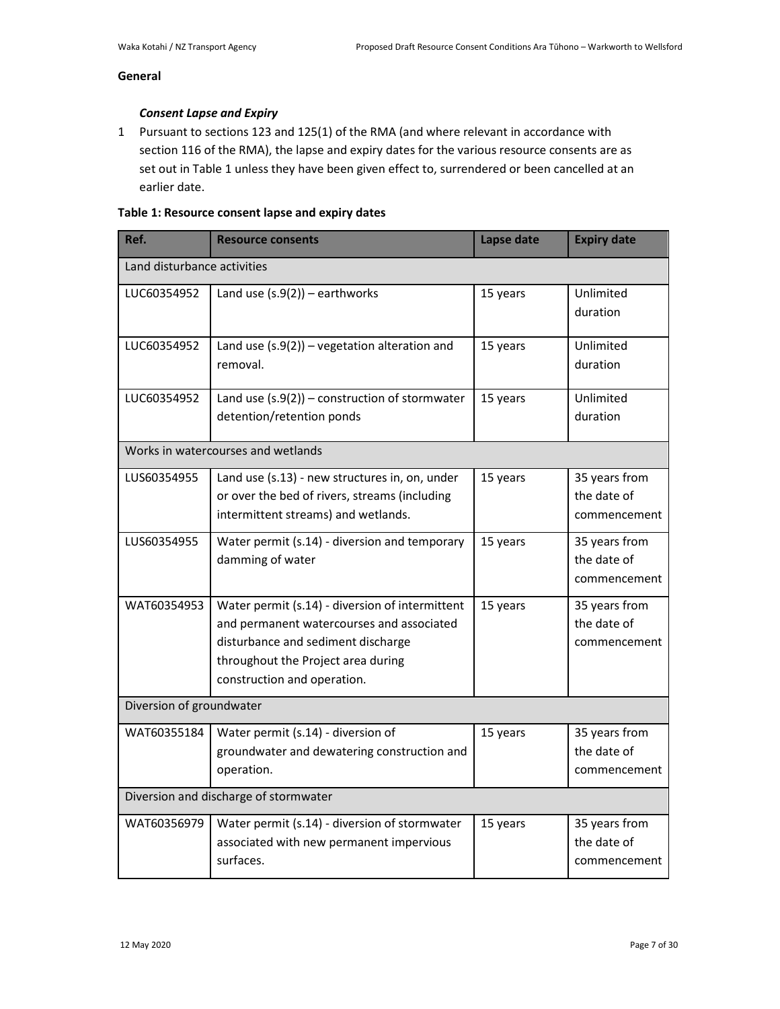# **General**

# *Consent Lapse and Expiry*

1 Pursuant to sections 123 and 125(1) of the RMA (and where relevant in accordance with section 116 of the RMA), the lapse and expiry dates for the various resource consents are as set out in Table 1 unless they have been given effect to, surrendered or been cancelled at an earlier date.

# **Table 1: Resource consent lapse and expiry dates**

| Ref.                                  | <b>Resource consents</b>                                                                                                                                                                                | Lapse date | <b>Expiry date</b>                           |
|---------------------------------------|---------------------------------------------------------------------------------------------------------------------------------------------------------------------------------------------------------|------------|----------------------------------------------|
| Land disturbance activities           |                                                                                                                                                                                                         |            |                                              |
| LUC60354952                           | Land use $(s.9(2))$ - earthworks                                                                                                                                                                        | 15 years   | Unlimited<br>duration                        |
| LUC60354952                           | Land use $(s.9(2))$ – vegetation alteration and<br>removal.                                                                                                                                             | 15 years   | Unlimited<br>duration                        |
| LUC60354952                           | Land use $(s.9(2))$ – construction of stormwater<br>detention/retention ponds                                                                                                                           | 15 years   | Unlimited<br>duration                        |
|                                       | Works in watercourses and wetlands                                                                                                                                                                      |            |                                              |
| LUS60354955                           | Land use (s.13) - new structures in, on, under<br>or over the bed of rivers, streams (including<br>intermittent streams) and wetlands.                                                                  | 15 years   | 35 years from<br>the date of<br>commencement |
| LUS60354955                           | Water permit (s.14) - diversion and temporary<br>damming of water                                                                                                                                       | 15 years   | 35 years from<br>the date of<br>commencement |
| WAT60354953                           | Water permit (s.14) - diversion of intermittent<br>and permanent watercourses and associated<br>disturbance and sediment discharge<br>throughout the Project area during<br>construction and operation. | 15 years   | 35 years from<br>the date of<br>commencement |
| Diversion of groundwater              |                                                                                                                                                                                                         |            |                                              |
| WAT60355184                           | Water permit (s.14) - diversion of<br>groundwater and dewatering construction and<br>operation.                                                                                                         | 15 years   | 35 years from<br>the date of<br>commencement |
| Diversion and discharge of stormwater |                                                                                                                                                                                                         |            |                                              |
| WAT60356979                           | Water permit (s.14) - diversion of stormwater<br>associated with new permanent impervious<br>surfaces.                                                                                                  | 15 years   | 35 years from<br>the date of<br>commencement |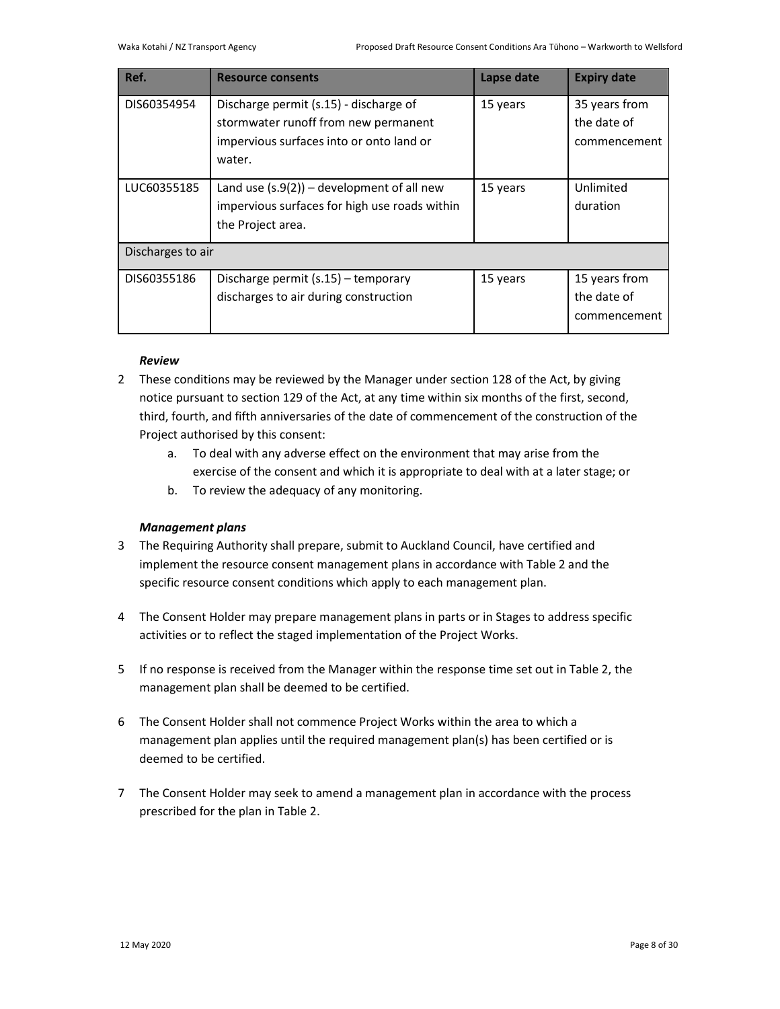| Ref.              | <b>Resource consents</b>                                                                                                             | Lapse date | <b>Expiry date</b>                           |
|-------------------|--------------------------------------------------------------------------------------------------------------------------------------|------------|----------------------------------------------|
| DIS60354954       | Discharge permit (s.15) - discharge of<br>stormwater runoff from new permanent<br>impervious surfaces into or onto land or<br>water. | 15 years   | 35 years from<br>the date of<br>commencement |
| LUC60355185       | Land use $(s.9(2))$ – development of all new<br>impervious surfaces for high use roads within<br>the Project area.                   | 15 years   | Unlimited<br>duration                        |
| Discharges to air |                                                                                                                                      |            |                                              |
| DIS60355186       | Discharge permit $(s.15)$ – temporary<br>discharges to air during construction                                                       | 15 years   | 15 years from<br>the date of<br>commencement |

# *Review*

- 2 These conditions may be reviewed by the Manager under section 128 of the Act, by giving notice pursuant to section 129 of the Act, at any time within six months of the first, second, third, fourth, and fifth anniversaries of the date of commencement of the construction of the Project authorised by this consent:
	- a. To deal with any adverse effect on the environment that may arise from the exercise of the consent and which it is appropriate to deal with at a later stage; or
	- b. To review the adequacy of any monitoring.

# *Management plans*

- 3 The Requiring Authority shall prepare, submit to Auckland Council, have certified and implement the resource consent management plans in accordance with Table 2 and the specific resource consent conditions which apply to each management plan.
- 4 The Consent Holder may prepare management plans in parts or in Stages to address specific activities or to reflect the staged implementation of the Project Works.
- 5 If no response is received from the Manager within the response time set out in Table 2, the management plan shall be deemed to be certified.
- 6 The Consent Holder shall not commence Project Works within the area to which a management plan applies until the required management plan(s) has been certified or is deemed to be certified.
- 7 The Consent Holder may seek to amend a management plan in accordance with the process prescribed for the plan in Table 2.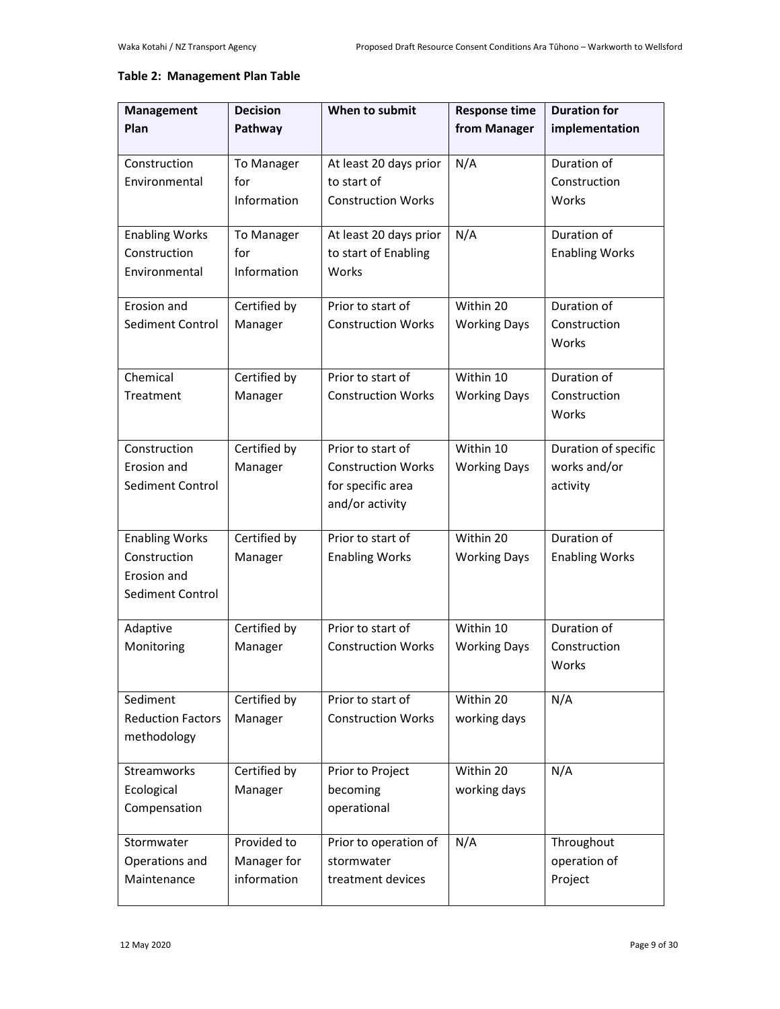# **Table 2: Management Plan Table**

| <b>Management</b><br>Plan                                                | <b>Decision</b><br>Pathway                | When to submit                                                                         | <b>Response time</b><br>from Manager | <b>Duration for</b><br>implementation            |
|--------------------------------------------------------------------------|-------------------------------------------|----------------------------------------------------------------------------------------|--------------------------------------|--------------------------------------------------|
| Construction<br>Environmental                                            | To Manager<br>for<br>Information          | At least 20 days prior<br>to start of<br><b>Construction Works</b>                     | N/A                                  | Duration of<br>Construction<br>Works             |
| <b>Enabling Works</b><br>Construction<br>Environmental                   | To Manager<br>for<br>Information          | At least 20 days prior<br>to start of Enabling<br>Works                                | N/A                                  | Duration of<br><b>Enabling Works</b>             |
| Erosion and<br>Sediment Control                                          | Certified by<br>Manager                   | Prior to start of<br><b>Construction Works</b>                                         | Within 20<br><b>Working Days</b>     | Duration of<br>Construction<br>Works             |
| Chemical<br>Treatment                                                    | Certified by<br>Manager                   | Prior to start of<br><b>Construction Works</b>                                         | Within 10<br><b>Working Days</b>     | Duration of<br>Construction<br>Works             |
| Construction<br>Erosion and<br>Sediment Control                          | Certified by<br>Manager                   | Prior to start of<br><b>Construction Works</b><br>for specific area<br>and/or activity | Within 10<br><b>Working Days</b>     | Duration of specific<br>works and/or<br>activity |
| <b>Enabling Works</b><br>Construction<br>Erosion and<br>Sediment Control | Certified by<br>Manager                   | Prior to start of<br><b>Enabling Works</b>                                             | Within 20<br><b>Working Days</b>     | Duration of<br><b>Enabling Works</b>             |
| Adaptive<br>Monitoring                                                   | Certified by<br>Manager                   | Prior to start of<br><b>Construction Works</b>                                         | Within 10<br><b>Working Days</b>     | Duration of<br>Construction<br>Works             |
| Sediment<br><b>Reduction Factors</b><br>methodology                      | Certified by<br>Manager                   | Prior to start of<br><b>Construction Works</b>                                         | Within 20<br>working days            | N/A                                              |
| <b>Streamworks</b><br>Ecological<br>Compensation                         | Certified by<br>Manager                   | Prior to Project<br>becoming<br>operational                                            | Within 20<br>working days            | N/A                                              |
| Stormwater<br>Operations and<br>Maintenance                              | Provided to<br>Manager for<br>information | Prior to operation of<br>stormwater<br>treatment devices                               | N/A                                  | Throughout<br>operation of<br>Project            |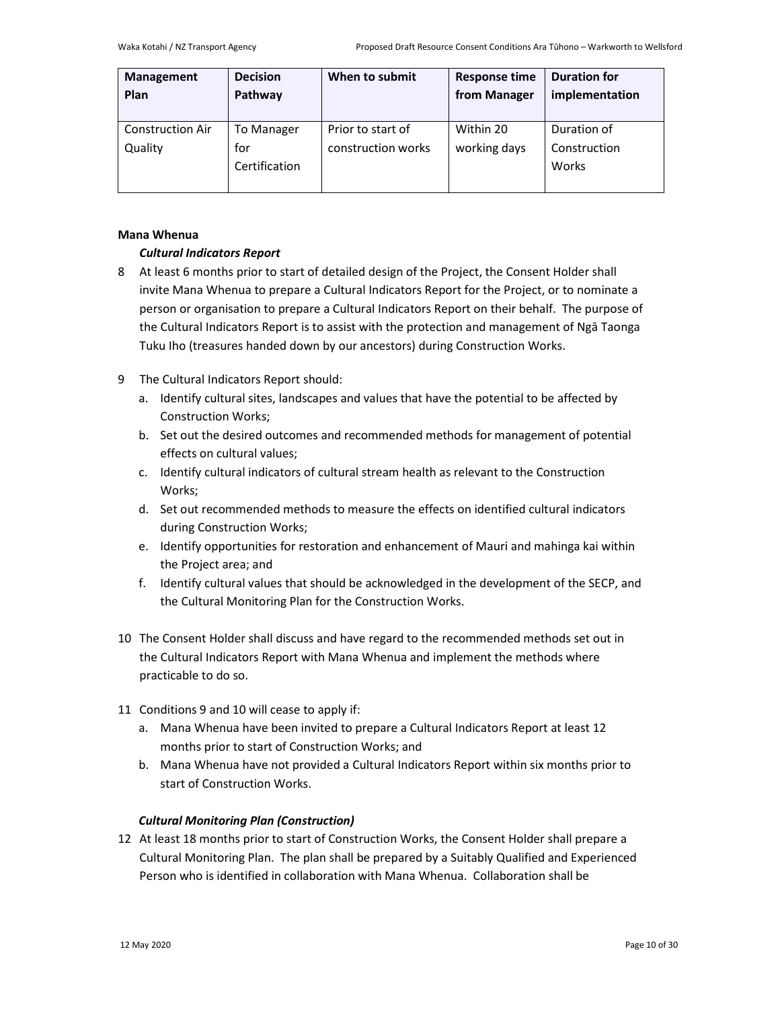| Management<br>Plan      | <b>Decision</b><br>Pathway | When to submit     | <b>Response time</b><br>from Manager | <b>Duration for</b><br>implementation |
|-------------------------|----------------------------|--------------------|--------------------------------------|---------------------------------------|
| <b>Construction Air</b> | To Manager                 | Prior to start of  | Within 20                            | Duration of                           |
| Quality                 | for                        | construction works | working days                         | Construction                          |
|                         | Certification              |                    |                                      | Works                                 |

# **Mana Whenua**

# *Cultural Indicators Report*

- 8 At least 6 months prior to start of detailed design of the Project, the Consent Holder shall invite Mana Whenua to prepare a Cultural Indicators Report for the Project, or to nominate a person or organisation to prepare a Cultural Indicators Report on their behalf. The purpose of the Cultural Indicators Report is to assist with the protection and management of Ngā Taonga Tuku Iho (treasures handed down by our ancestors) during Construction Works.
- 9 The Cultural Indicators Report should:
	- a. Identify cultural sites, landscapes and values that have the potential to be affected by Construction Works;
	- b. Set out the desired outcomes and recommended methods for management of potential effects on cultural values;
	- c. Identify cultural indicators of cultural stream health as relevant to the Construction Works;
	- d. Set out recommended methods to measure the effects on identified cultural indicators during Construction Works;
	- e. Identify opportunities for restoration and enhancement of Mauri and mahinga kai within the Project area; and
	- f. Identify cultural values that should be acknowledged in the development of the SECP, and the Cultural Monitoring Plan for the Construction Works.
- 10 The Consent Holder shall discuss and have regard to the recommended methods set out in the Cultural Indicators Report with Mana Whenua and implement the methods where practicable to do so.
- 11 Conditions 9 and 10 will cease to apply if:
	- a. Mana Whenua have been invited to prepare a Cultural Indicators Report at least 12 months prior to start of Construction Works; and
	- b. Mana Whenua have not provided a Cultural Indicators Report within six months prior to start of Construction Works.

# *Cultural Monitoring Plan (Construction)*

12 At least 18 months prior to start of Construction Works, the Consent Holder shall prepare a Cultural Monitoring Plan. The plan shall be prepared by a Suitably Qualified and Experienced Person who is identified in collaboration with Mana Whenua. Collaboration shall be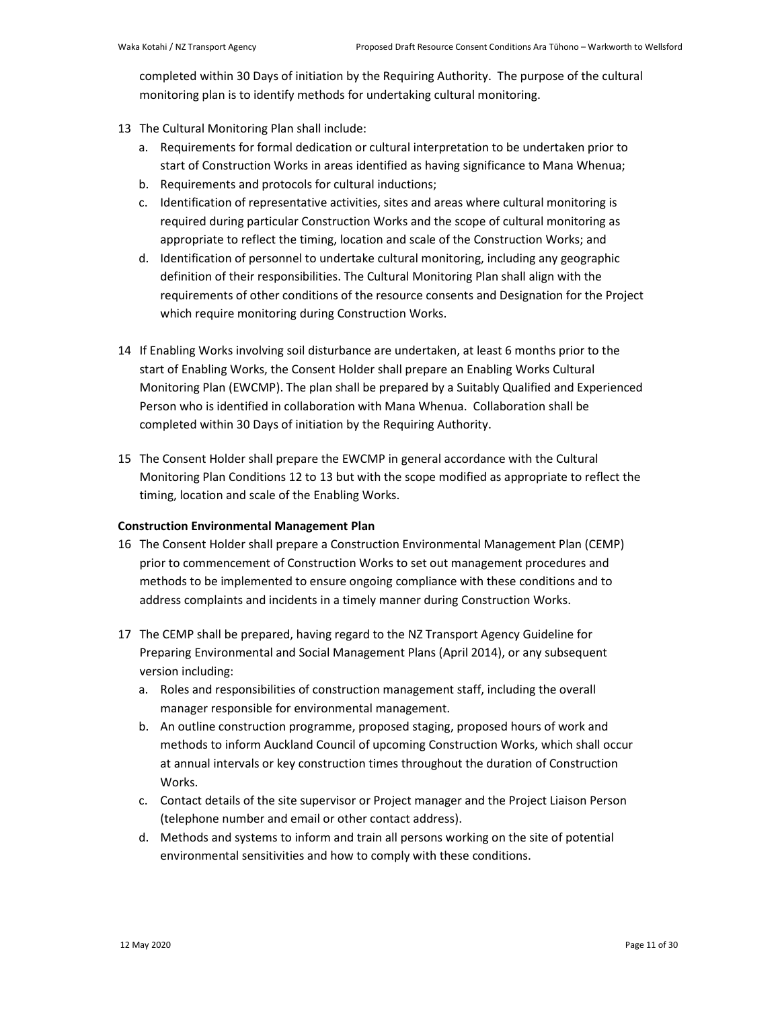completed within 30 Days of initiation by the Requiring Authority. The purpose of the cultural monitoring plan is to identify methods for undertaking cultural monitoring.

- 13 The Cultural Monitoring Plan shall include:
	- a. Requirements for formal dedication or cultural interpretation to be undertaken prior to start of Construction Works in areas identified as having significance to Mana Whenua;
	- b. Requirements and protocols for cultural inductions;
	- c. Identification of representative activities, sites and areas where cultural monitoring is required during particular Construction Works and the scope of cultural monitoring as appropriate to reflect the timing, location and scale of the Construction Works; and
	- d. Identification of personnel to undertake cultural monitoring, including any geographic definition of their responsibilities. The Cultural Monitoring Plan shall align with the requirements of other conditions of the resource consents and Designation for the Project which require monitoring during Construction Works.
- 14 If Enabling Works involving soil disturbance are undertaken, at least 6 months prior to the start of Enabling Works, the Consent Holder shall prepare an Enabling Works Cultural Monitoring Plan (EWCMP). The plan shall be prepared by a Suitably Qualified and Experienced Person who is identified in collaboration with Mana Whenua. Collaboration shall be completed within 30 Days of initiation by the Requiring Authority.
- 15 The Consent Holder shall prepare the EWCMP in general accordance with the Cultural Monitoring Plan Conditions 12 to 13 but with the scope modified as appropriate to reflect the timing, location and scale of the Enabling Works.

# **Construction Environmental Management Plan**

- 16 The Consent Holder shall prepare a Construction Environmental Management Plan (CEMP) prior to commencement of Construction Works to set out management procedures and methods to be implemented to ensure ongoing compliance with these conditions and to address complaints and incidents in a timely manner during Construction Works.
- 17 The CEMP shall be prepared, having regard to the NZ Transport Agency Guideline for Preparing Environmental and Social Management Plans (April 2014), or any subsequent version including:
	- a. Roles and responsibilities of construction management staff, including the overall manager responsible for environmental management.
	- b. An outline construction programme, proposed staging, proposed hours of work and methods to inform Auckland Council of upcoming Construction Works, which shall occur at annual intervals or key construction times throughout the duration of Construction Works.
	- c. Contact details of the site supervisor or Project manager and the Project Liaison Person (telephone number and email or other contact address).
	- d. Methods and systems to inform and train all persons working on the site of potential environmental sensitivities and how to comply with these conditions.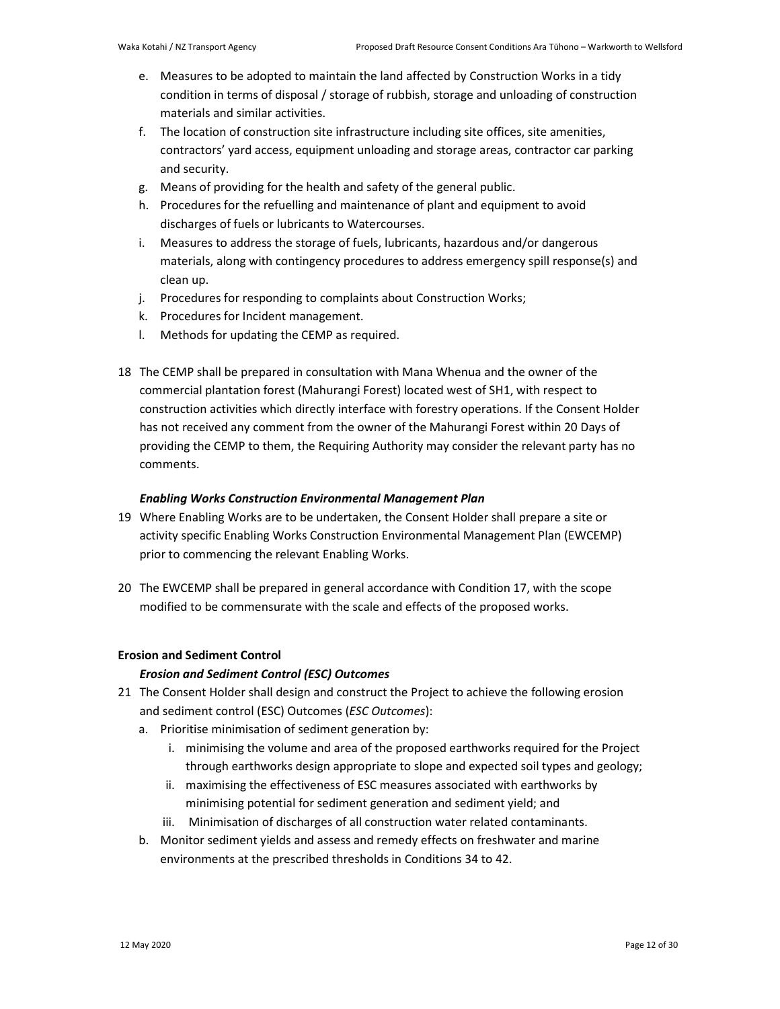- e. Measures to be adopted to maintain the land affected by Construction Works in a tidy condition in terms of disposal / storage of rubbish, storage and unloading of construction materials and similar activities.
- f. The location of construction site infrastructure including site offices, site amenities, contractors' yard access, equipment unloading and storage areas, contractor car parking and security.
- g. Means of providing for the health and safety of the general public.
- h. Procedures for the refuelling and maintenance of plant and equipment to avoid discharges of fuels or lubricants to Watercourses.
- i. Measures to address the storage of fuels, lubricants, hazardous and/or dangerous materials, along with contingency procedures to address emergency spill response(s) and clean up.
- j. Procedures for responding to complaints about Construction Works;
- k. Procedures for Incident management.
- l. Methods for updating the CEMP as required.
- 18 The CEMP shall be prepared in consultation with Mana Whenua and the owner of the commercial plantation forest (Mahurangi Forest) located west of SH1, with respect to construction activities which directly interface with forestry operations. If the Consent Holder has not received any comment from the owner of the Mahurangi Forest within 20 Days of providing the CEMP to them, the Requiring Authority may consider the relevant party has no comments.

# *Enabling Works Construction Environmental Management Plan*

- 19 Where Enabling Works are to be undertaken, the Consent Holder shall prepare a site or activity specific Enabling Works Construction Environmental Management Plan (EWCEMP) prior to commencing the relevant Enabling Works.
- 20 The EWCEMP shall be prepared in general accordance with Condition 17, with the scope modified to be commensurate with the scale and effects of the proposed works.

## **Erosion and Sediment Control**

# *Erosion and Sediment Control (ESC) Outcomes*

- 21 The Consent Holder shall design and construct the Project to achieve the following erosion and sediment control (ESC) Outcomes (*ESC Outcomes*):
	- a. Prioritise minimisation of sediment generation by:
		- i. minimising the volume and area of the proposed earthworks required for the Project through earthworks design appropriate to slope and expected soil types and geology;
		- ii. maximising the effectiveness of ESC measures associated with earthworks by minimising potential for sediment generation and sediment yield; and
		- iii. Minimisation of discharges of all construction water related contaminants.
	- b. Monitor sediment yields and assess and remedy effects on freshwater and marine environments at the prescribed thresholds in Conditions 34 to 42.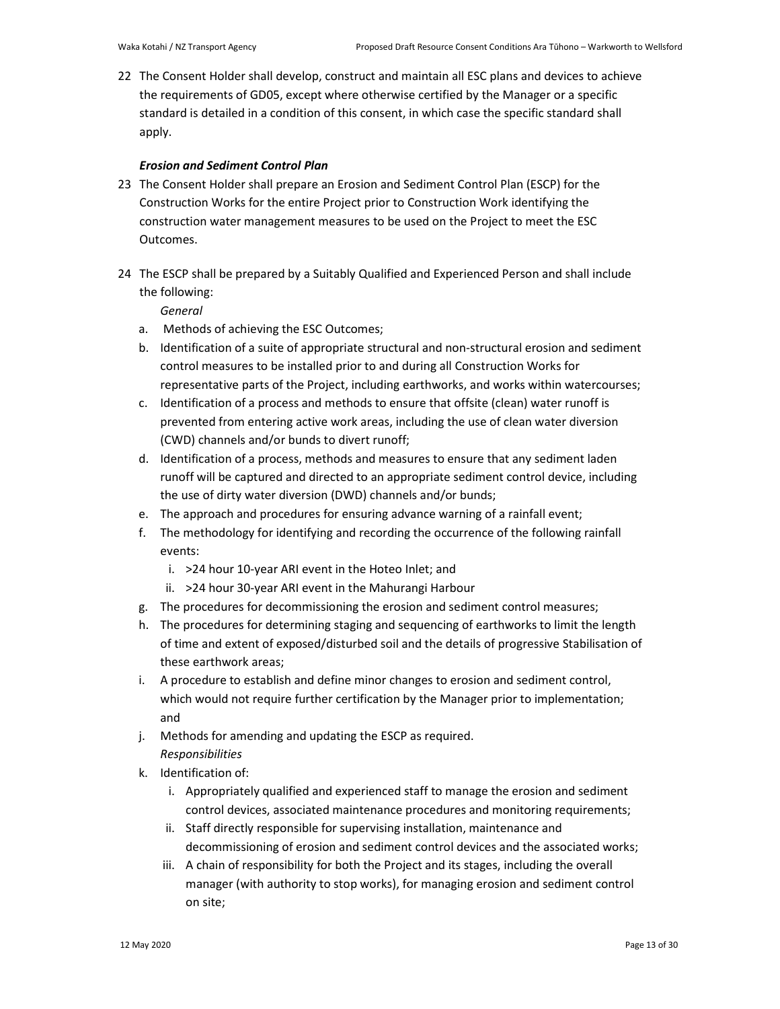22 The Consent Holder shall develop, construct and maintain all ESC plans and devices to achieve the requirements of GD05, except where otherwise certified by the Manager or a specific standard is detailed in a condition of this consent, in which case the specific standard shall apply.

## *Erosion and Sediment Control Plan*

- 23 The Consent Holder shall prepare an Erosion and Sediment Control Plan (ESCP) for the Construction Works for the entire Project prior to Construction Work identifying the construction water management measures to be used on the Project to meet the ESC Outcomes.
- 24 The ESCP shall be prepared by a Suitably Qualified and Experienced Person and shall include the following:

# *General*

- a. Methods of achieving the ESC Outcomes;
- b. Identification of a suite of appropriate structural and non-structural erosion and sediment control measures to be installed prior to and during all Construction Works for representative parts of the Project, including earthworks, and works within watercourses;
- c. Identification of a process and methods to ensure that offsite (clean) water runoff is prevented from entering active work areas, including the use of clean water diversion (CWD) channels and/or bunds to divert runoff;
- d. Identification of a process, methods and measures to ensure that any sediment laden runoff will be captured and directed to an appropriate sediment control device, including the use of dirty water diversion (DWD) channels and/or bunds;
- e. The approach and procedures for ensuring advance warning of a rainfall event;
- f. The methodology for identifying and recording the occurrence of the following rainfall events:
	- i. >24 hour 10-year ARI event in the Hoteo Inlet; and
	- ii. >24 hour 30-year ARI event in the Mahurangi Harbour
- g. The procedures for decommissioning the erosion and sediment control measures;
- h. The procedures for determining staging and sequencing of earthworks to limit the length of time and extent of exposed/disturbed soil and the details of progressive Stabilisation of these earthwork areas;
- i. A procedure to establish and define minor changes to erosion and sediment control, which would not require further certification by the Manager prior to implementation; and
- j. Methods for amending and updating the ESCP as required. *Responsibilities*
- k. Identification of:
	- i. Appropriately qualified and experienced staff to manage the erosion and sediment control devices, associated maintenance procedures and monitoring requirements;
	- ii. Staff directly responsible for supervising installation, maintenance and decommissioning of erosion and sediment control devices and the associated works;
	- iii. A chain of responsibility for both the Project and its stages, including the overall manager (with authority to stop works), for managing erosion and sediment control on site;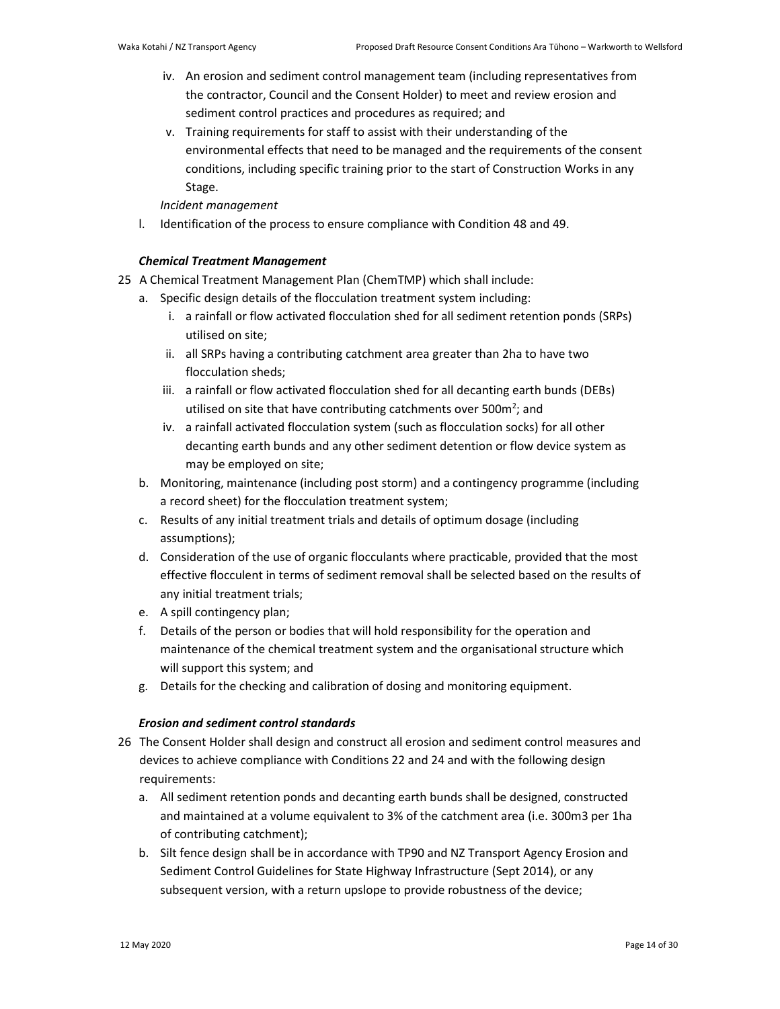- iv. An erosion and sediment control management team (including representatives from the contractor, Council and the Consent Holder) to meet and review erosion and sediment control practices and procedures as required; and
- v. Training requirements for staff to assist with their understanding of the environmental effects that need to be managed and the requirements of the consent conditions, including specific training prior to the start of Construction Works in any Stage.

# *Incident management*

l. Identification of the process to ensure compliance with Condition 48 and 49.

# *Chemical Treatment Management*

- 25 A Chemical Treatment Management Plan (ChemTMP) which shall include:
	- a. Specific design details of the flocculation treatment system including:
		- i. a rainfall or flow activated flocculation shed for all sediment retention ponds (SRPs) utilised on site;
		- ii. all SRPs having a contributing catchment area greater than 2ha to have two flocculation sheds;
		- iii. a rainfall or flow activated flocculation shed for all decanting earth bunds (DEBs) utilised on site that have contributing catchments over 500 $m^2$ ; and
		- iv. a rainfall activated flocculation system (such as flocculation socks) for all other decanting earth bunds and any other sediment detention or flow device system as may be employed on site;
	- b. Monitoring, maintenance (including post storm) and a contingency programme (including a record sheet) for the flocculation treatment system;
	- c. Results of any initial treatment trials and details of optimum dosage (including assumptions);
	- d. Consideration of the use of organic flocculants where practicable, provided that the most effective flocculent in terms of sediment removal shall be selected based on the results of any initial treatment trials;
	- e. A spill contingency plan;
	- f. Details of the person or bodies that will hold responsibility for the operation and maintenance of the chemical treatment system and the organisational structure which will support this system; and
	- g. Details for the checking and calibration of dosing and monitoring equipment.

# *Erosion and sediment control standards*

- 26 The Consent Holder shall design and construct all erosion and sediment control measures and devices to achieve compliance with Conditions 22 and 24 and with the following design requirements:
	- a. All sediment retention ponds and decanting earth bunds shall be designed, constructed and maintained at a volume equivalent to 3% of the catchment area (i.e. 300m3 per 1ha of contributing catchment);
	- b. Silt fence design shall be in accordance with TP90 and NZ Transport Agency Erosion and Sediment Control Guidelines for State Highway Infrastructure (Sept 2014), or any subsequent version, with a return upslope to provide robustness of the device;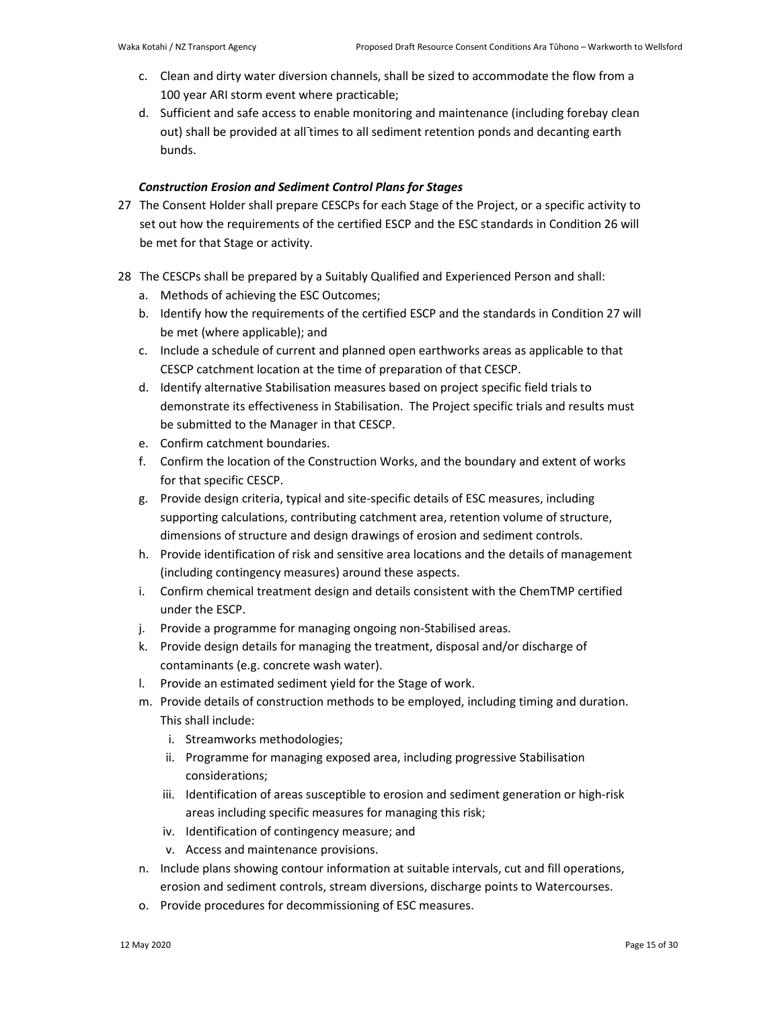- c. Clean and dirty water diversion channels, shall be sized to accommodate the flow from a 100 year ARI storm event where practicable;
- d. Sufficient and safe access to enable monitoring and maintenance (including forebay clean out) shall be provided at all times to all sediment retention ponds and decanting earth bunds.

# *Construction Erosion and Sediment Control Plans for Stages*

- 27 The Consent Holder shall prepare CESCPs for each Stage of the Project, or a specific activity to set out how the requirements of the certified ESCP and the ESC standards in Condition 26 will be met for that Stage or activity.
- 28 The CESCPs shall be prepared by a Suitably Qualified and Experienced Person and shall:
	- a. Methods of achieving the ESC Outcomes;
	- b. Identify how the requirements of the certified ESCP and the standards in Condition 27 will be met (where applicable); and
	- c. Include a schedule of current and planned open earthworks areas as applicable to that CESCP catchment location at the time of preparation of that CESCP.
	- d. Identify alternative Stabilisation measures based on project specific field trials to demonstrate its effectiveness in Stabilisation. The Project specific trials and results must be submitted to the Manager in that CESCP.
	- e. Confirm catchment boundaries.
	- f. Confirm the location of the Construction Works, and the boundary and extent of works for that specific CESCP.
	- g. Provide design criteria, typical and site-specific details of ESC measures, including supporting calculations, contributing catchment area, retention volume of structure, dimensions of structure and design drawings of erosion and sediment controls.
	- h. Provide identification of risk and sensitive area locations and the details of management (including contingency measures) around these aspects.
	- i. Confirm chemical treatment design and details consistent with the ChemTMP certified under the ESCP.
	- j. Provide a programme for managing ongoing non-Stabilised areas.
	- k. Provide design details for managing the treatment, disposal and/or discharge of contaminants (e.g. concrete wash water).
	- l. Provide an estimated sediment yield for the Stage of work.
	- m. Provide details of construction methods to be employed, including timing and duration. This shall include:
		- i. Streamworks methodologies;
		- ii. Programme for managing exposed area, including progressive Stabilisation considerations;
		- iii. Identification of areas susceptible to erosion and sediment generation or high-risk areas including specific measures for managing this risk;
		- iv. Identification of contingency measure; and
		- v. Access and maintenance provisions.
	- n. Include plans showing contour information at suitable intervals, cut and fill operations, erosion and sediment controls, stream diversions, discharge points to Watercourses.
	- o. Provide procedures for decommissioning of ESC measures.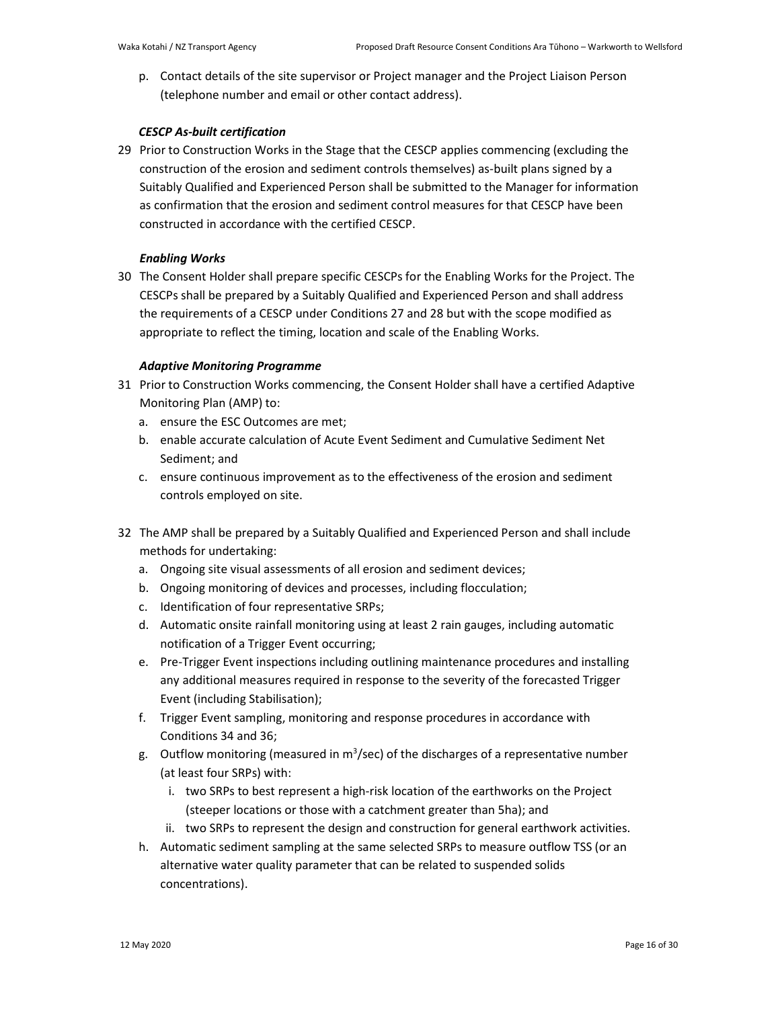p. Contact details of the site supervisor or Project manager and the Project Liaison Person (telephone number and email or other contact address).

# *CESCP As-built certification*

29 Prior to Construction Works in the Stage that the CESCP applies commencing (excluding the construction of the erosion and sediment controls themselves) as-built plans signed by a Suitably Qualified and Experienced Person shall be submitted to the Manager for information as confirmation that the erosion and sediment control measures for that CESCP have been constructed in accordance with the certified CESCP.

# *Enabling Works*

30 The Consent Holder shall prepare specific CESCPs for the Enabling Works for the Project. The CESCPs shall be prepared by a Suitably Qualified and Experienced Person and shall address the requirements of a CESCP under Conditions 27 and 28 but with the scope modified as appropriate to reflect the timing, location and scale of the Enabling Works.

# *Adaptive Monitoring Programme*

- 31 Prior to Construction Works commencing, the Consent Holder shall have a certified Adaptive Monitoring Plan (AMP) to:
	- a. ensure the ESC Outcomes are met;
	- b. enable accurate calculation of Acute Event Sediment and Cumulative Sediment Net Sediment; and
	- c. ensure continuous improvement as to the effectiveness of the erosion and sediment controls employed on site.
- 32 The AMP shall be prepared by a Suitably Qualified and Experienced Person and shall include methods for undertaking:
	- a. Ongoing site visual assessments of all erosion and sediment devices;
	- b. Ongoing monitoring of devices and processes, including flocculation;
	- c. Identification of four representative SRPs;
	- d. Automatic onsite rainfall monitoring using at least 2 rain gauges, including automatic notification of a Trigger Event occurring;
	- e. Pre-Trigger Event inspections including outlining maintenance procedures and installing any additional measures required in response to the severity of the forecasted Trigger Event (including Stabilisation);
	- f. Trigger Event sampling, monitoring and response procedures in accordance with Conditions 34 and 36;
	- g. Outflow monitoring (measured in  $m^3$ /sec) of the discharges of a representative number (at least four SRPs) with:
		- i. two SRPs to best represent a high-risk location of the earthworks on the Project (steeper locations or those with a catchment greater than 5ha); and
		- ii. two SRPs to represent the design and construction for general earthwork activities.
	- h. Automatic sediment sampling at the same selected SRPs to measure outflow TSS (or an alternative water quality parameter that can be related to suspended solids concentrations).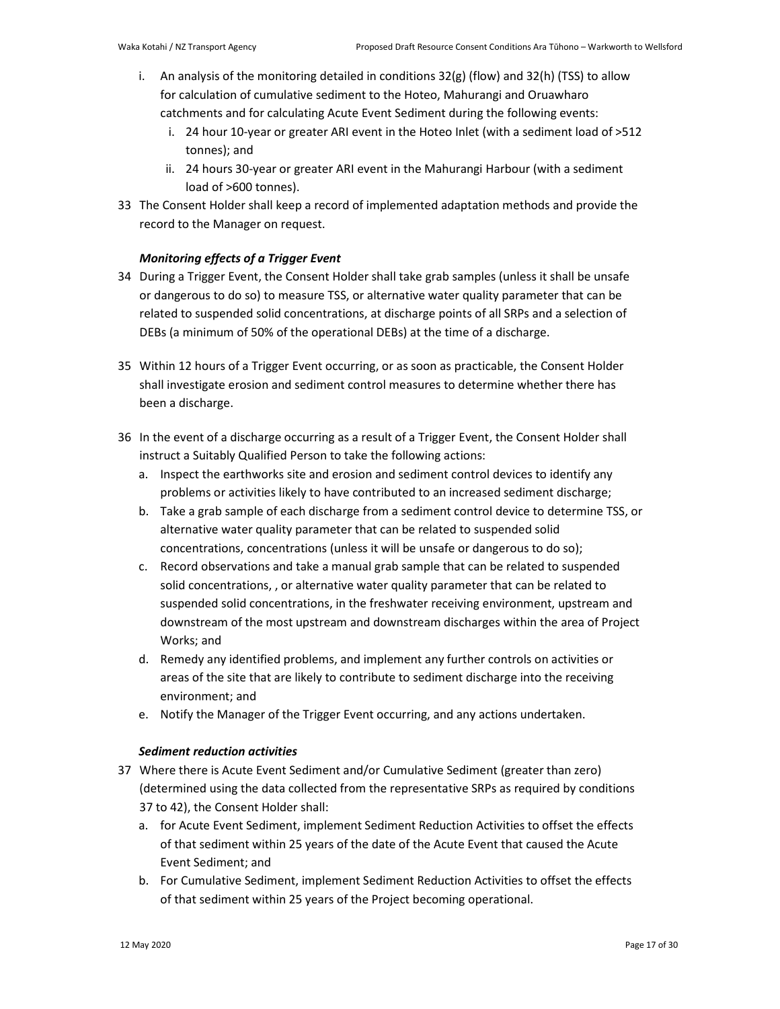- i. An analysis of the monitoring detailed in conditions  $32(g)$  (flow) and  $32(h)$  (TSS) to allow for calculation of cumulative sediment to the Hoteo, Mahurangi and Oruawharo catchments and for calculating Acute Event Sediment during the following events:
	- i. 24 hour 10-year or greater ARI event in the Hoteo Inlet (with a sediment load of >512 tonnes); and
	- ii. 24 hours 30-year or greater ARI event in the Mahurangi Harbour (with a sediment load of >600 tonnes).
- 33 The Consent Holder shall keep a record of implemented adaptation methods and provide the record to the Manager on request.

# *Monitoring effects of a Trigger Event*

- 34 During a Trigger Event, the Consent Holder shall take grab samples (unless it shall be unsafe or dangerous to do so) to measure TSS, or alternative water quality parameter that can be related to suspended solid concentrations, at discharge points of all SRPs and a selection of DEBs (a minimum of 50% of the operational DEBs) at the time of a discharge.
- 35 Within 12 hours of a Trigger Event occurring, or as soon as practicable, the Consent Holder shall investigate erosion and sediment control measures to determine whether there has been a discharge.
- 36 In the event of a discharge occurring as a result of a Trigger Event, the Consent Holder shall instruct a Suitably Qualified Person to take the following actions:
	- a. Inspect the earthworks site and erosion and sediment control devices to identify any problems or activities likely to have contributed to an increased sediment discharge;
	- b. Take a grab sample of each discharge from a sediment control device to determine TSS, or alternative water quality parameter that can be related to suspended solid concentrations, concentrations (unless it will be unsafe or dangerous to do so);
	- c. Record observations and take a manual grab sample that can be related to suspended solid concentrations, , or alternative water quality parameter that can be related to suspended solid concentrations, in the freshwater receiving environment, upstream and downstream of the most upstream and downstream discharges within the area of Project Works; and
	- d. Remedy any identified problems, and implement any further controls on activities or areas of the site that are likely to contribute to sediment discharge into the receiving environment; and
	- e. Notify the Manager of the Trigger Event occurring, and any actions undertaken.

# *Sediment reduction activities*

- 37 Where there is Acute Event Sediment and/or Cumulative Sediment (greater than zero) (determined using the data collected from the representative SRPs as required by conditions 37 to 42), the Consent Holder shall:
	- a. for Acute Event Sediment, implement Sediment Reduction Activities to offset the effects of that sediment within 25 years of the date of the Acute Event that caused the Acute Event Sediment; and
	- b. For Cumulative Sediment, implement Sediment Reduction Activities to offset the effects of that sediment within 25 years of the Project becoming operational.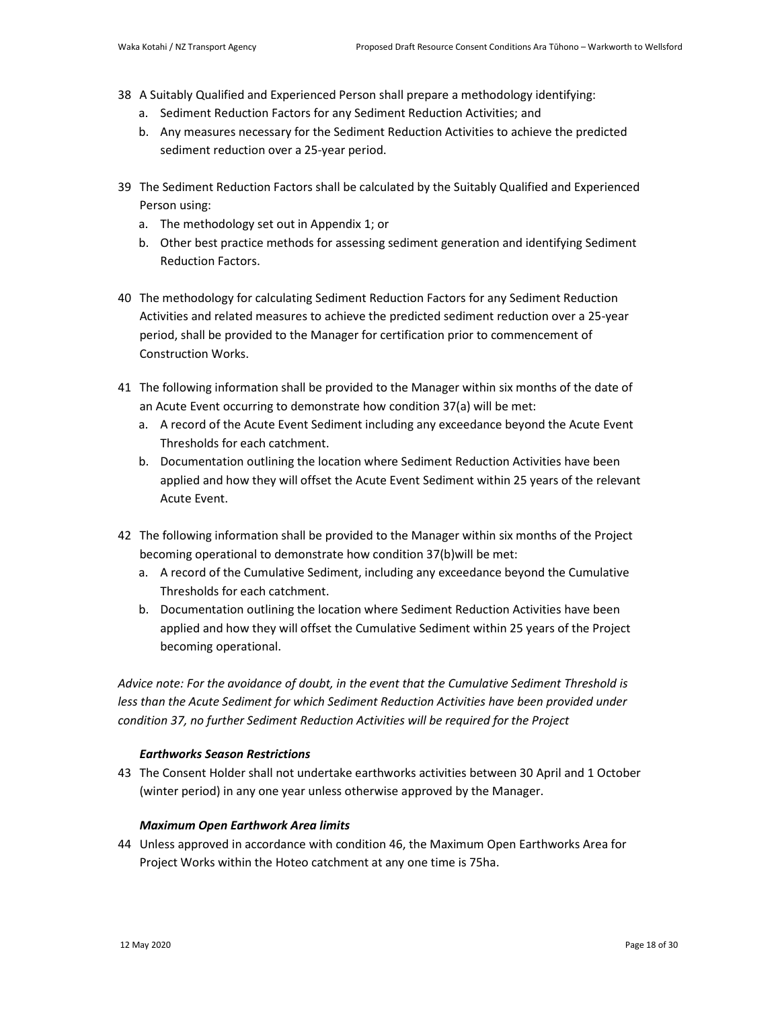- 38 A Suitably Qualified and Experienced Person shall prepare a methodology identifying:
	- a. Sediment Reduction Factors for any Sediment Reduction Activities; and
	- b. Any measures necessary for the Sediment Reduction Activities to achieve the predicted sediment reduction over a 25-year period.
- 39 The Sediment Reduction Factors shall be calculated by the Suitably Qualified and Experienced Person using:
	- a. The methodology set out in Appendix 1; or
	- b. Other best practice methods for assessing sediment generation and identifying Sediment Reduction Factors.
- 40 The methodology for calculating Sediment Reduction Factors for any Sediment Reduction Activities and related measures to achieve the predicted sediment reduction over a 25-year period, shall be provided to the Manager for certification prior to commencement of Construction Works.
- 41 The following information shall be provided to the Manager within six months of the date of an Acute Event occurring to demonstrate how condition 37(a) will be met:
	- a. A record of the Acute Event Sediment including any exceedance beyond the Acute Event Thresholds for each catchment.
	- b. Documentation outlining the location where Sediment Reduction Activities have been applied and how they will offset the Acute Event Sediment within 25 years of the relevant Acute Event.
- 42 The following information shall be provided to the Manager within six months of the Project becoming operational to demonstrate how condition 37(b)will be met:
	- a. A record of the Cumulative Sediment, including any exceedance beyond the Cumulative Thresholds for each catchment.
	- b. Documentation outlining the location where Sediment Reduction Activities have been applied and how they will offset the Cumulative Sediment within 25 years of the Project becoming operational.

*Advice note: For the avoidance of doubt, in the event that the Cumulative Sediment Threshold is less than the Acute Sediment for which Sediment Reduction Activities have been provided under condition 37, no further Sediment Reduction Activities will be required for the Project* 

# *Earthworks Season Restrictions*

43 The Consent Holder shall not undertake earthworks activities between 30 April and 1 October (winter period) in any one year unless otherwise approved by the Manager.

## *Maximum Open Earthwork Area limits*

44 Unless approved in accordance with condition 46, the Maximum Open Earthworks Area for Project Works within the Hoteo catchment at any one time is 75ha.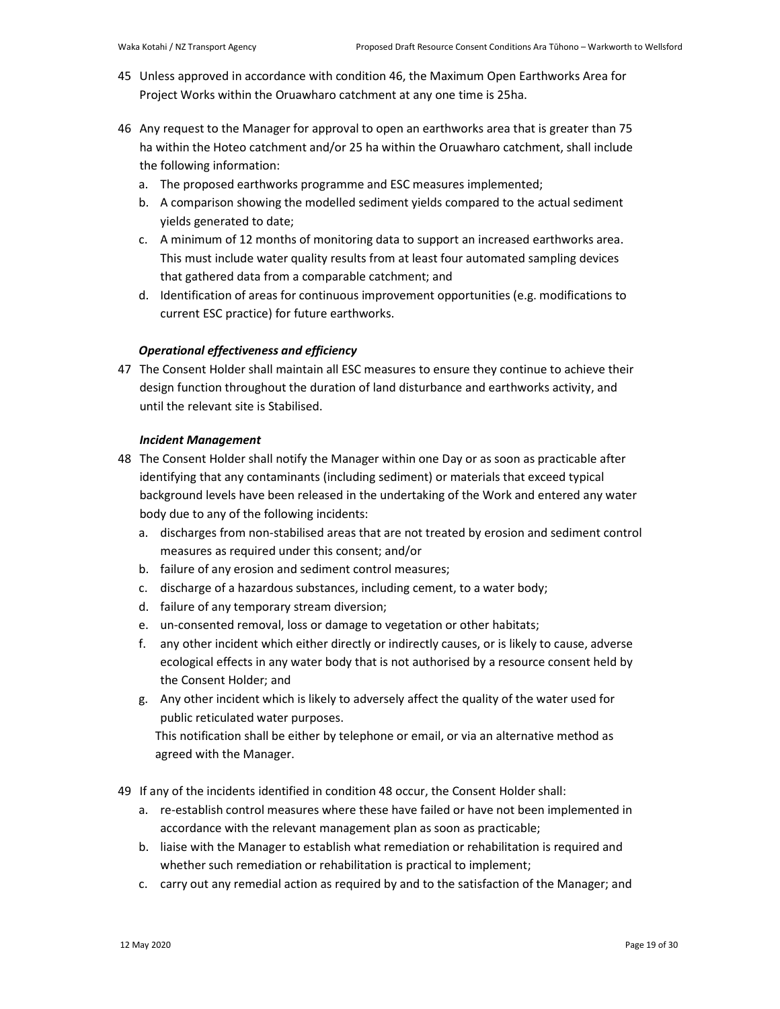- 45 Unless approved in accordance with condition 46, the Maximum Open Earthworks Area for Project Works within the Oruawharo catchment at any one time is 25ha.
- 46 Any request to the Manager for approval to open an earthworks area that is greater than 75 ha within the Hoteo catchment and/or 25 ha within the Oruawharo catchment, shall include the following information:
	- a. The proposed earthworks programme and ESC measures implemented;
	- b. A comparison showing the modelled sediment yields compared to the actual sediment yields generated to date;
	- c. A minimum of 12 months of monitoring data to support an increased earthworks area. This must include water quality results from at least four automated sampling devices that gathered data from a comparable catchment; and
	- d. Identification of areas for continuous improvement opportunities (e.g. modifications to current ESC practice) for future earthworks.

# *Operational effectiveness and efficiency*

47 The Consent Holder shall maintain all ESC measures to ensure they continue to achieve their design function throughout the duration of land disturbance and earthworks activity, and until the relevant site is Stabilised.

## *Incident Management*

- 48 The Consent Holder shall notify the Manager within one Day or as soon as practicable after identifying that any contaminants (including sediment) or materials that exceed typical background levels have been released in the undertaking of the Work and entered any water body due to any of the following incidents:
	- a. discharges from non-stabilised areas that are not treated by erosion and sediment control measures as required under this consent; and/or
	- b. failure of any erosion and sediment control measures;
	- c. discharge of a hazardous substances, including cement, to a water body;
	- d. failure of any temporary stream diversion;
	- e. un-consented removal, loss or damage to vegetation or other habitats;
	- f. any other incident which either directly or indirectly causes, or is likely to cause, adverse ecological effects in any water body that is not authorised by a resource consent held by the Consent Holder; and
	- g. Any other incident which is likely to adversely affect the quality of the water used for public reticulated water purposes.

This notification shall be either by telephone or email, or via an alternative method as agreed with the Manager.

- 49 If any of the incidents identified in condition 48 occur, the Consent Holder shall:
	- a. re-establish control measures where these have failed or have not been implemented in accordance with the relevant management plan as soon as practicable;
	- b. liaise with the Manager to establish what remediation or rehabilitation is required and whether such remediation or rehabilitation is practical to implement;
	- c. carry out any remedial action as required by and to the satisfaction of the Manager; and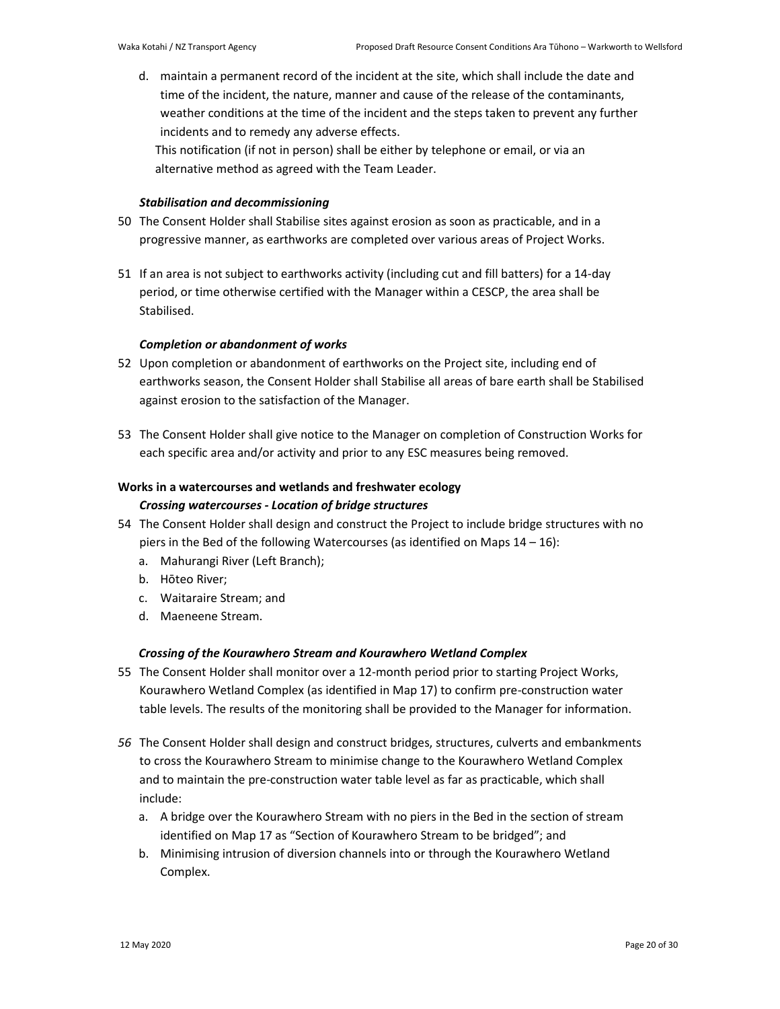d. maintain a permanent record of the incident at the site, which shall include the date and time of the incident, the nature, manner and cause of the release of the contaminants, weather conditions at the time of the incident and the steps taken to prevent any further incidents and to remedy any adverse effects.

This notification (if not in person) shall be either by telephone or email, or via an alternative method as agreed with the Team Leader.

# *Stabilisation and decommissioning*

- 50 The Consent Holder shall Stabilise sites against erosion as soon as practicable, and in a progressive manner, as earthworks are completed over various areas of Project Works.
- 51 If an area is not subject to earthworks activity (including cut and fill batters) for a 14-day period, or time otherwise certified with the Manager within a CESCP, the area shall be Stabilised.

# *Completion or abandonment of works*

- 52 Upon completion or abandonment of earthworks on the Project site, including end of earthworks season, the Consent Holder shall Stabilise all areas of bare earth shall be Stabilised against erosion to the satisfaction of the Manager.
- 53 The Consent Holder shall give notice to the Manager on completion of Construction Works for each specific area and/or activity and prior to any ESC measures being removed.

# **Works in a watercourses and wetlands and freshwater ecology**

# *Crossing watercourses - Location of bridge structures*

- 54 The Consent Holder shall design and construct the Project to include bridge structures with no piers in the Bed of the following Watercourses (as identified on Maps  $14 - 16$ ):
	- a. Mahurangi River (Left Branch);
	- b. Hōteo River;
	- c. Waitaraire Stream; and
	- d. Maeneene Stream.

# *Crossing of the Kourawhero Stream and Kourawhero Wetland Complex*

- 55 The Consent Holder shall monitor over a 12-month period prior to starting Project Works, Kourawhero Wetland Complex (as identified in Map 17) to confirm pre-construction water table levels. The results of the monitoring shall be provided to the Manager for information.
- *56* The Consent Holder shall design and construct bridges, structures, culverts and embankments to cross the Kourawhero Stream to minimise change to the Kourawhero Wetland Complex and to maintain the pre-construction water table level as far as practicable, which shall include:
	- a. A bridge over the Kourawhero Stream with no piers in the Bed in the section of stream identified on Map 17 as "Section of Kourawhero Stream to be bridged"; and
	- b. Minimising intrusion of diversion channels into or through the Kourawhero Wetland Complex.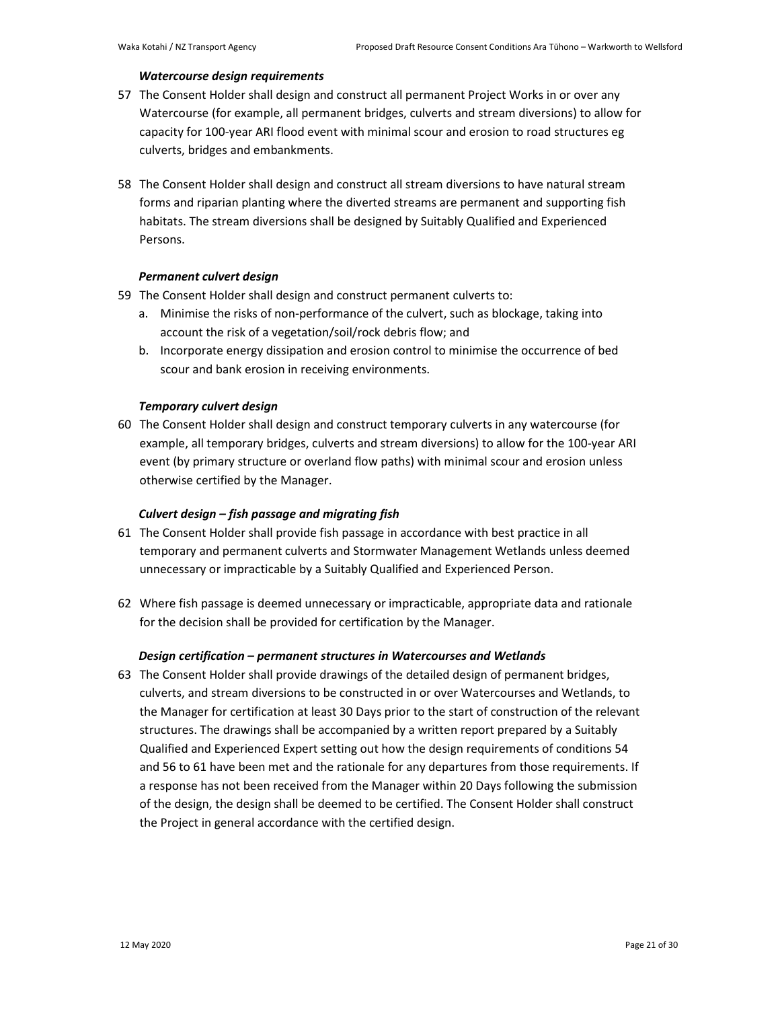## *Watercourse design requirements*

- 57 The Consent Holder shall design and construct all permanent Project Works in or over any Watercourse (for example, all permanent bridges, culverts and stream diversions) to allow for capacity for 100-year ARI flood event with minimal scour and erosion to road structures eg culverts, bridges and embankments.
- 58 The Consent Holder shall design and construct all stream diversions to have natural stream forms and riparian planting where the diverted streams are permanent and supporting fish habitats. The stream diversions shall be designed by Suitably Qualified and Experienced Persons.

# *Permanent culvert design*

- 59 The Consent Holder shall design and construct permanent culverts to:
	- a. Minimise the risks of non-performance of the culvert, such as blockage, taking into account the risk of a vegetation/soil/rock debris flow; and
	- b. Incorporate energy dissipation and erosion control to minimise the occurrence of bed scour and bank erosion in receiving environments.

# *Temporary culvert design*

60 The Consent Holder shall design and construct temporary culverts in any watercourse (for example, all temporary bridges, culverts and stream diversions) to allow for the 100-year ARI event (by primary structure or overland flow paths) with minimal scour and erosion unless otherwise certified by the Manager.

## *Culvert design – fish passage and migrating fish*

- 61 The Consent Holder shall provide fish passage in accordance with best practice in all temporary and permanent culverts and Stormwater Management Wetlands unless deemed unnecessary or impracticable by a Suitably Qualified and Experienced Person.
- 62 Where fish passage is deemed unnecessary or impracticable, appropriate data and rationale for the decision shall be provided for certification by the Manager.

## *Design certification – permanent structures in Watercourses and Wetlands*

63 The Consent Holder shall provide drawings of the detailed design of permanent bridges, culverts, and stream diversions to be constructed in or over Watercourses and Wetlands, to the Manager for certification at least 30 Days prior to the start of construction of the relevant structures. The drawings shall be accompanied by a written report prepared by a Suitably Qualified and Experienced Expert setting out how the design requirements of conditions 54 and 56 to 61 have been met and the rationale for any departures from those requirements. If a response has not been received from the Manager within 20 Days following the submission of the design, the design shall be deemed to be certified. The Consent Holder shall construct the Project in general accordance with the certified design.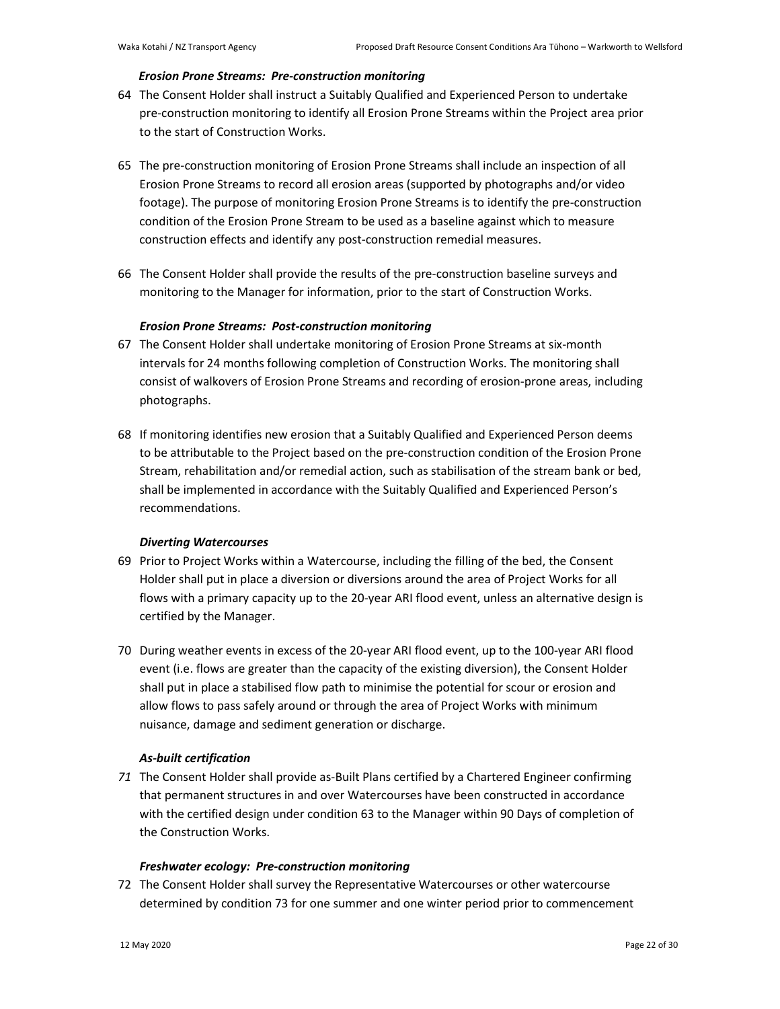### *Erosion Prone Streams: Pre-construction monitoring*

- 64 The Consent Holder shall instruct a Suitably Qualified and Experienced Person to undertake pre-construction monitoring to identify all Erosion Prone Streams within the Project area prior to the start of Construction Works.
- 65 The pre-construction monitoring of Erosion Prone Streams shall include an inspection of all Erosion Prone Streams to record all erosion areas (supported by photographs and/or video footage). The purpose of monitoring Erosion Prone Streams is to identify the pre-construction condition of the Erosion Prone Stream to be used as a baseline against which to measure construction effects and identify any post-construction remedial measures.
- 66 The Consent Holder shall provide the results of the pre-construction baseline surveys and monitoring to the Manager for information, prior to the start of Construction Works.

## *Erosion Prone Streams: Post-construction monitoring*

- 67 The Consent Holder shall undertake monitoring of Erosion Prone Streams at six-month intervals for 24 months following completion of Construction Works. The monitoring shall consist of walkovers of Erosion Prone Streams and recording of erosion-prone areas, including photographs.
- 68 If monitoring identifies new erosion that a Suitably Qualified and Experienced Person deems to be attributable to the Project based on the pre-construction condition of the Erosion Prone Stream, rehabilitation and/or remedial action, such as stabilisation of the stream bank or bed, shall be implemented in accordance with the Suitably Qualified and Experienced Person's recommendations.

## *Diverting Watercourses*

- 69 Prior to Project Works within a Watercourse, including the filling of the bed, the Consent Holder shall put in place a diversion or diversions around the area of Project Works for all flows with a primary capacity up to the 20-year ARI flood event, unless an alternative design is certified by the Manager.
- 70 During weather events in excess of the 20-year ARI flood event, up to the 100-year ARI flood event (i.e. flows are greater than the capacity of the existing diversion), the Consent Holder shall put in place a stabilised flow path to minimise the potential for scour or erosion and allow flows to pass safely around or through the area of Project Works with minimum nuisance, damage and sediment generation or discharge.

## *As-built certification*

*71* The Consent Holder shall provide as-Built Plans certified by a Chartered Engineer confirming that permanent structures in and over Watercourses have been constructed in accordance with the certified design under condition 63 to the Manager within 90 Days of completion of the Construction Works.

# *Freshwater ecology: Pre-construction monitoring*

72 The Consent Holder shall survey the Representative Watercourses or other watercourse determined by condition 73 for one summer and one winter period prior to commencement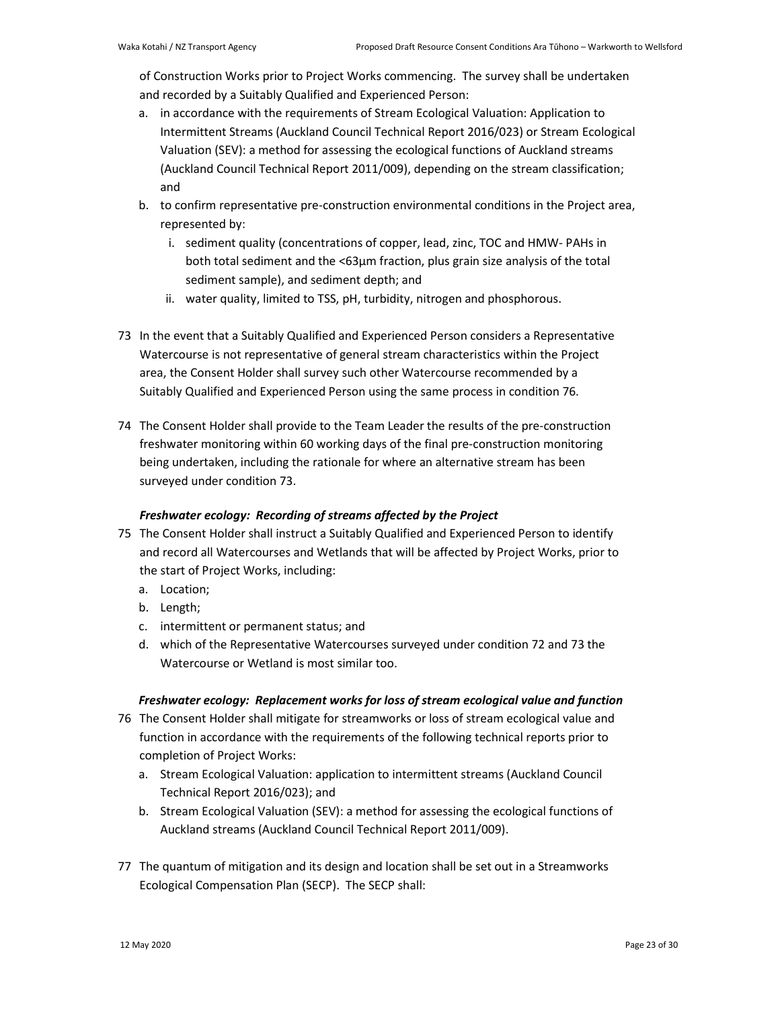of Construction Works prior to Project Works commencing. The survey shall be undertaken and recorded by a Suitably Qualified and Experienced Person:

- a. in accordance with the requirements of Stream Ecological Valuation: Application to Intermittent Streams (Auckland Council Technical Report 2016/023) or Stream Ecological Valuation (SEV): a method for assessing the ecological functions of Auckland streams (Auckland Council Technical Report 2011/009), depending on the stream classification; and
- b. to confirm representative pre-construction environmental conditions in the Project area, represented by:
	- i. sediment quality (concentrations of copper, lead, zinc, TOC and HMW- PAHs in both total sediment and the <63µm fraction, plus grain size analysis of the total sediment sample), and sediment depth; and
	- ii. water quality, limited to TSS, pH, turbidity, nitrogen and phosphorous.
- 73 In the event that a Suitably Qualified and Experienced Person considers a Representative Watercourse is not representative of general stream characteristics within the Project area, the Consent Holder shall survey such other Watercourse recommended by a Suitably Qualified and Experienced Person using the same process in condition 76.
- 74 The Consent Holder shall provide to the Team Leader the results of the pre-construction freshwater monitoring within 60 working days of the final pre-construction monitoring being undertaken, including the rationale for where an alternative stream has been surveyed under condition 73.

# *Freshwater ecology: Recording of streams affected by the Project*

- 75 The Consent Holder shall instruct a Suitably Qualified and Experienced Person to identify and record all Watercourses and Wetlands that will be affected by Project Works, prior to the start of Project Works, including:
	- a. Location;
	- b. Length;
	- c. intermittent or permanent status; and
	- d. which of the Representative Watercourses surveyed under condition 72 and 73 the Watercourse or Wetland is most similar too.

# *Freshwater ecology: Replacement works for loss of stream ecological value and function*

- 76 The Consent Holder shall mitigate for streamworks or loss of stream ecological value and function in accordance with the requirements of the following technical reports prior to completion of Project Works:
	- a. Stream Ecological Valuation: application to intermittent streams (Auckland Council Technical Report 2016/023); and
	- b. Stream Ecological Valuation (SEV): a method for assessing the ecological functions of Auckland streams (Auckland Council Technical Report 2011/009).
- 77 The quantum of mitigation and its design and location shall be set out in a Streamworks Ecological Compensation Plan (SECP). The SECP shall: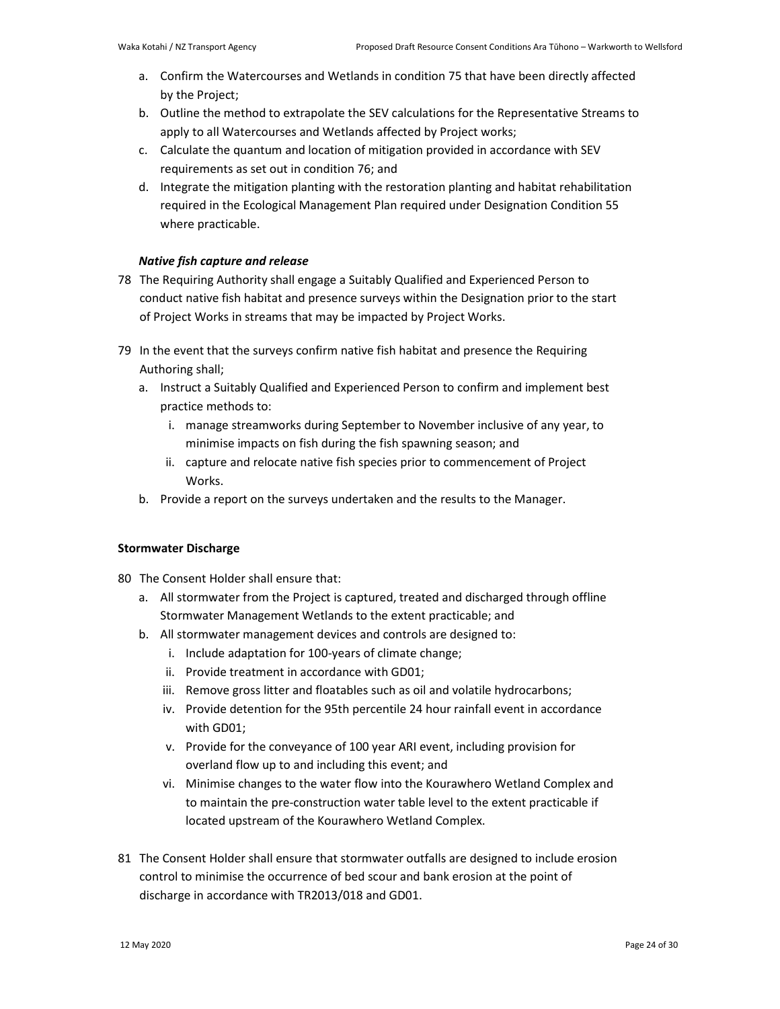- a. Confirm the Watercourses and Wetlands in condition 75 that have been directly affected by the Project;
- b. Outline the method to extrapolate the SEV calculations for the Representative Streams to apply to all Watercourses and Wetlands affected by Project works;
- c. Calculate the quantum and location of mitigation provided in accordance with SEV requirements as set out in condition 76; and
- d. Integrate the mitigation planting with the restoration planting and habitat rehabilitation required in the Ecological Management Plan required under Designation Condition 55 where practicable.

# *Native fish capture and release*

- 78 The Requiring Authority shall engage a Suitably Qualified and Experienced Person to conduct native fish habitat and presence surveys within the Designation prior to the start of Project Works in streams that may be impacted by Project Works.
- 79 In the event that the surveys confirm native fish habitat and presence the Requiring Authoring shall;
	- a. Instruct a Suitably Qualified and Experienced Person to confirm and implement best practice methods to:
		- i. manage streamworks during September to November inclusive of any year, to minimise impacts on fish during the fish spawning season; and
		- ii. capture and relocate native fish species prior to commencement of Project Works.
	- b. Provide a report on the surveys undertaken and the results to the Manager.

# **Stormwater Discharge**

80 The Consent Holder shall ensure that:

- a. All stormwater from the Project is captured, treated and discharged through offline Stormwater Management Wetlands to the extent practicable; and
- b. All stormwater management devices and controls are designed to:
	- i. Include adaptation for 100-years of climate change;
	- ii. Provide treatment in accordance with GD01;
	- iii. Remove gross litter and floatables such as oil and volatile hydrocarbons;
	- iv. Provide detention for the 95th percentile 24 hour rainfall event in accordance with GD01;
	- v. Provide for the conveyance of 100 year ARI event, including provision for overland flow up to and including this event; and
	- vi. Minimise changes to the water flow into the Kourawhero Wetland Complex and to maintain the pre-construction water table level to the extent practicable if located upstream of the Kourawhero Wetland Complex.
- 81 The Consent Holder shall ensure that stormwater outfalls are designed to include erosion control to minimise the occurrence of bed scour and bank erosion at the point of discharge in accordance with TR2013/018 and GD01.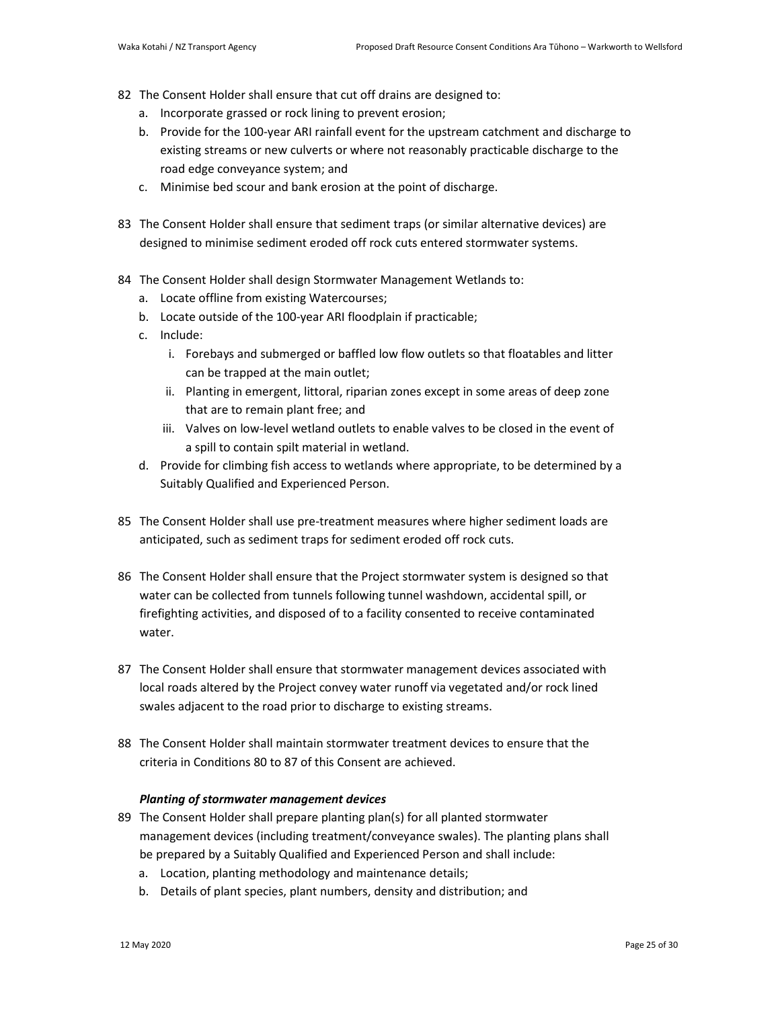- 82 The Consent Holder shall ensure that cut off drains are designed to:
	- a. Incorporate grassed or rock lining to prevent erosion;
	- b. Provide for the 100-year ARI rainfall event for the upstream catchment and discharge to existing streams or new culverts or where not reasonably practicable discharge to the road edge conveyance system; and
	- c. Minimise bed scour and bank erosion at the point of discharge.
- 83 The Consent Holder shall ensure that sediment traps (or similar alternative devices) are designed to minimise sediment eroded off rock cuts entered stormwater systems.
- 84 The Consent Holder shall design Stormwater Management Wetlands to:
	- a. Locate offline from existing Watercourses;
	- b. Locate outside of the 100-year ARI floodplain if practicable;
	- c. Include:
		- i. Forebays and submerged or baffled low flow outlets so that floatables and litter can be trapped at the main outlet;
		- ii. Planting in emergent, littoral, riparian zones except in some areas of deep zone that are to remain plant free; and
		- iii. Valves on low-level wetland outlets to enable valves to be closed in the event of a spill to contain spilt material in wetland.
	- d. Provide for climbing fish access to wetlands where appropriate, to be determined by a Suitably Qualified and Experienced Person.
- 85 The Consent Holder shall use pre-treatment measures where higher sediment loads are anticipated, such as sediment traps for sediment eroded off rock cuts.
- 86 The Consent Holder shall ensure that the Project stormwater system is designed so that water can be collected from tunnels following tunnel washdown, accidental spill, or firefighting activities, and disposed of to a facility consented to receive contaminated water.
- 87 The Consent Holder shall ensure that stormwater management devices associated with local roads altered by the Project convey water runoff via vegetated and/or rock lined swales adjacent to the road prior to discharge to existing streams.
- 88 The Consent Holder shall maintain stormwater treatment devices to ensure that the criteria in Conditions 80 to 87 of this Consent are achieved.

### *Planting of stormwater management devices*

- 89 The Consent Holder shall prepare planting plan(s) for all planted stormwater management devices (including treatment/conveyance swales). The planting plans shall be prepared by a Suitably Qualified and Experienced Person and shall include:
	- a. Location, planting methodology and maintenance details;
	- b. Details of plant species, plant numbers, density and distribution; and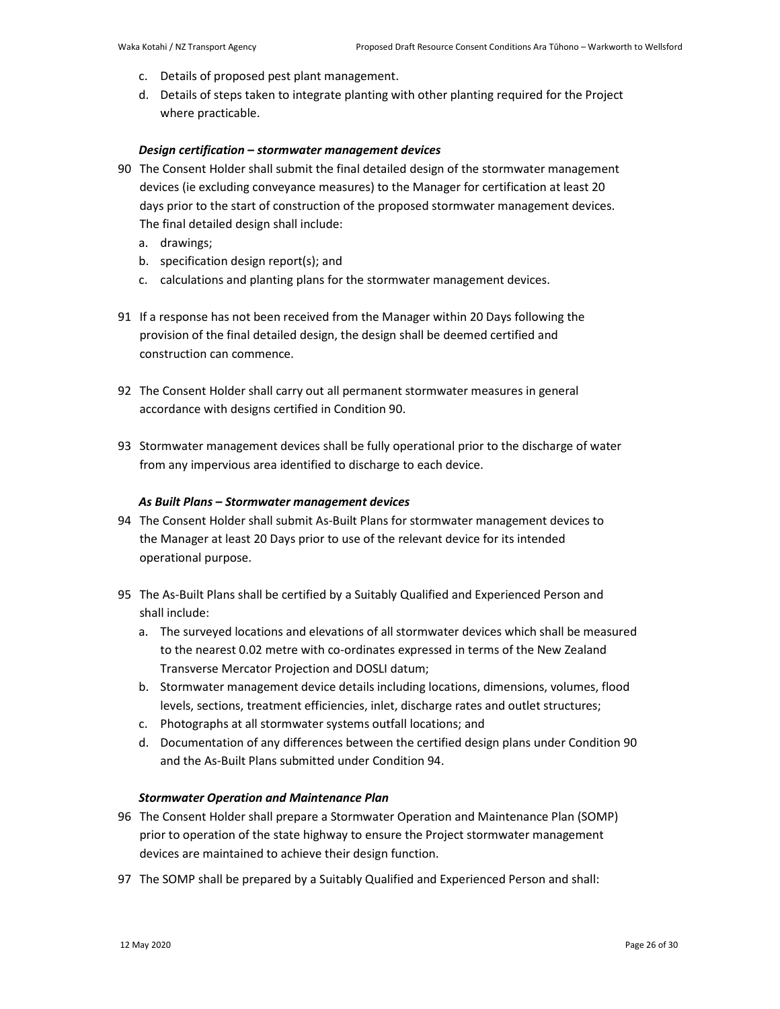- c. Details of proposed pest plant management.
- d. Details of steps taken to integrate planting with other planting required for the Project where practicable.

### *Design certification – stormwater management devices*

- 90 The Consent Holder shall submit the final detailed design of the stormwater management devices (ie excluding conveyance measures) to the Manager for certification at least 20 days prior to the start of construction of the proposed stormwater management devices. The final detailed design shall include:
	- a. drawings;
	- b. specification design report(s); and
	- c. calculations and planting plans for the stormwater management devices.
- 91 If a response has not been received from the Manager within 20 Days following the provision of the final detailed design, the design shall be deemed certified and construction can commence.
- 92 The Consent Holder shall carry out all permanent stormwater measures in general accordance with designs certified in Condition 90.
- 93 Stormwater management devices shall be fully operational prior to the discharge of water from any impervious area identified to discharge to each device.

### *As Built Plans – Stormwater management devices*

- 94 The Consent Holder shall submit As-Built Plans for stormwater management devices to the Manager at least 20 Days prior to use of the relevant device for its intended operational purpose.
- 95 The As-Built Plans shall be certified by a Suitably Qualified and Experienced Person and shall include:
	- a. The surveyed locations and elevations of all stormwater devices which shall be measured to the nearest 0.02 metre with co-ordinates expressed in terms of the New Zealand Transverse Mercator Projection and DOSLI datum;
	- b. Stormwater management device details including locations, dimensions, volumes, flood levels, sections, treatment efficiencies, inlet, discharge rates and outlet structures;
	- c. Photographs at all stormwater systems outfall locations; and
	- d. Documentation of any differences between the certified design plans under Condition 90 and the As-Built Plans submitted under Condition 94.

## *Stormwater Operation and Maintenance Plan*

- 96 The Consent Holder shall prepare a Stormwater Operation and Maintenance Plan (SOMP) prior to operation of the state highway to ensure the Project stormwater management devices are maintained to achieve their design function.
- 97 The SOMP shall be prepared by a Suitably Qualified and Experienced Person and shall: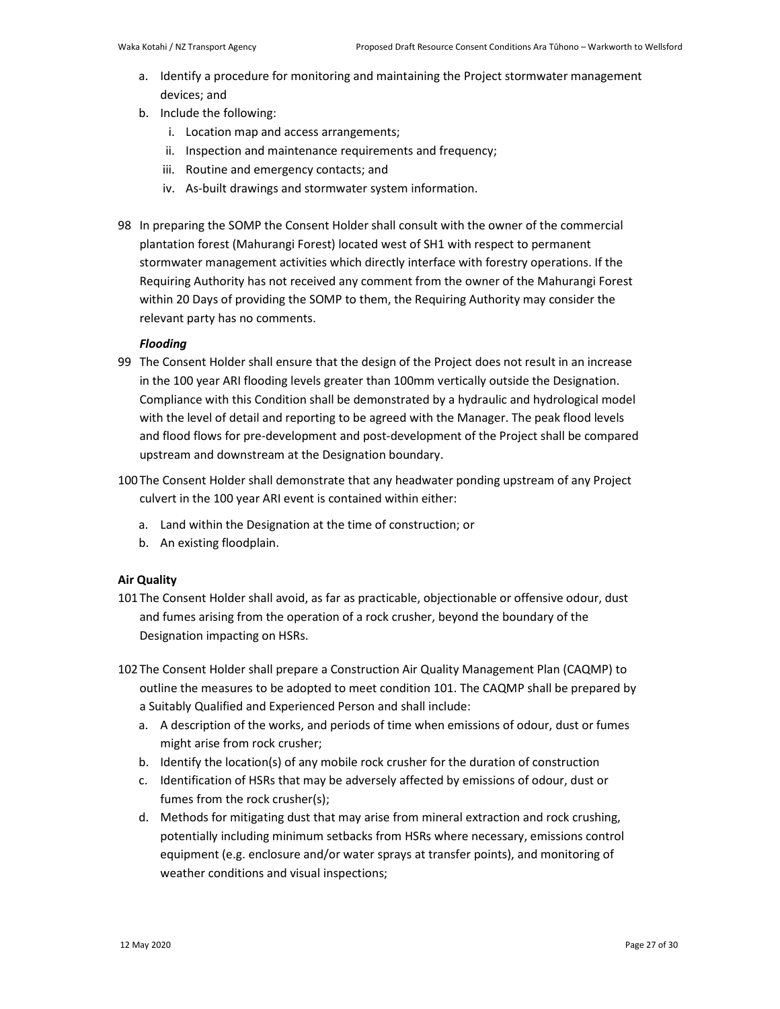- a. Identify a procedure for monitoring and maintaining the Project stormwater management devices; and
- b. Include the following:
	- i. Location map and access arrangements;
	- ii. Inspection and maintenance requirements and frequency;
	- iii. Routine and emergency contacts; and
	- iv. As-built drawings and stormwater system information.
- 98 In preparing the SOMP the Consent Holder shall consult with the owner of the commercial plantation forest (Mahurangi Forest) located west of SH1 with respect to permanent stormwater management activities which directly interface with forestry operations. If the Requiring Authority has not received any comment from the owner of the Mahurangi Forest within 20 Days of providing the SOMP to them, the Requiring Authority may consider the relevant party has no comments.

# *Flooding*

- 99 The Consent Holder shall ensure that the design of the Project does not result in an increase in the 100 year ARI flooding levels greater than 100mm vertically outside the Designation. Compliance with this Condition shall be demonstrated by a hydraulic and hydrological model with the level of detail and reporting to be agreed with the Manager. The peak flood levels and flood flows for pre-development and post-development of the Project shall be compared upstream and downstream at the Designation boundary.
- 100The Consent Holder shall demonstrate that any headwater ponding upstream of any Project culvert in the 100 year ARI event is contained within either:
	- a. Land within the Designation at the time of construction; or
	- b. An existing floodplain.

# **Air Quality**

- 101The Consent Holder shall avoid, as far as practicable, objectionable or offensive odour, dust and fumes arising from the operation of a rock crusher, beyond the boundary of the Designation impacting on HSRs.
- 102The Consent Holder shall prepare a Construction Air Quality Management Plan (CAQMP) to outline the measures to be adopted to meet condition 101. The CAQMP shall be prepared by a Suitably Qualified and Experienced Person and shall include:
	- a. A description of the works, and periods of time when emissions of odour, dust or fumes might arise from rock crusher;
	- b. Identify the location(s) of any mobile rock crusher for the duration of construction
	- c. Identification of HSRs that may be adversely affected by emissions of odour, dust or fumes from the rock crusher(s);
	- d. Methods for mitigating dust that may arise from mineral extraction and rock crushing, potentially including minimum setbacks from HSRs where necessary, emissions control equipment (e.g. enclosure and/or water sprays at transfer points), and monitoring of weather conditions and visual inspections;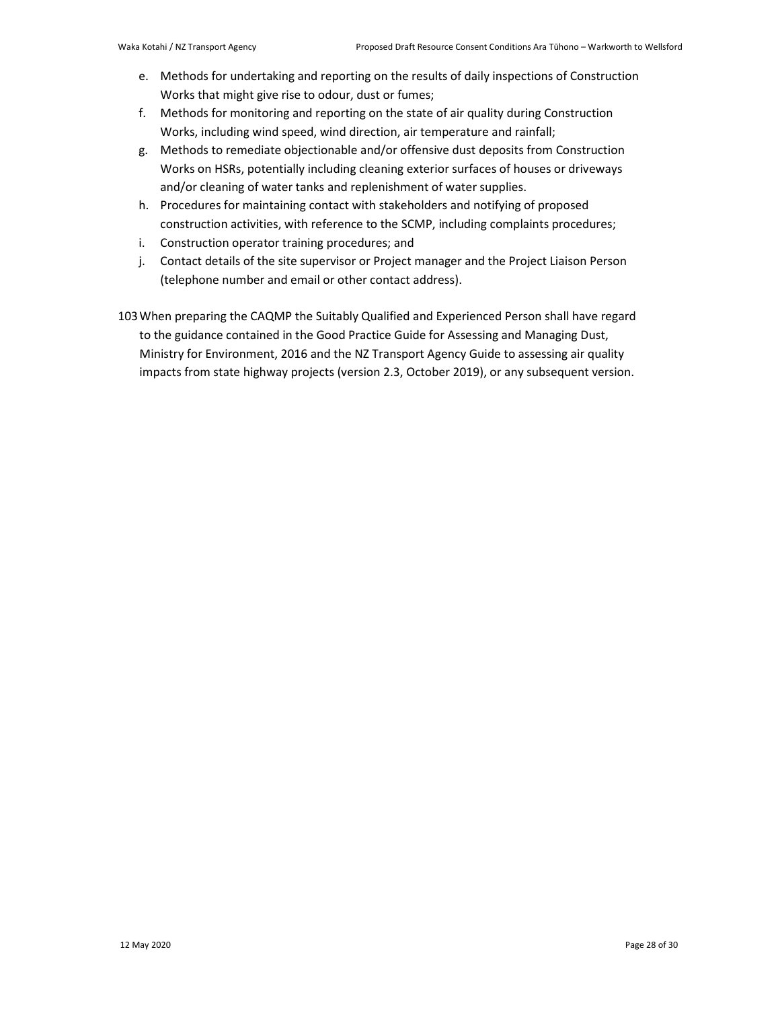- e. Methods for undertaking and reporting on the results of daily inspections of Construction Works that might give rise to odour, dust or fumes;
- f. Methods for monitoring and reporting on the state of air quality during Construction Works, including wind speed, wind direction, air temperature and rainfall;
- g. Methods to remediate objectionable and/or offensive dust deposits from Construction Works on HSRs, potentially including cleaning exterior surfaces of houses or driveways and/or cleaning of water tanks and replenishment of water supplies.
- h. Procedures for maintaining contact with stakeholders and notifying of proposed construction activities, with reference to the SCMP, including complaints procedures;
- i. Construction operator training procedures; and
- j. Contact details of the site supervisor or Project manager and the Project Liaison Person (telephone number and email or other contact address).

103When preparing the CAQMP the Suitably Qualified and Experienced Person shall have regard to the guidance contained in the Good Practice Guide for Assessing and Managing Dust, Ministry for Environment, 2016 and the NZ Transport Agency Guide to assessing air quality impacts from state highway projects (version 2.3, October 2019), or any subsequent version.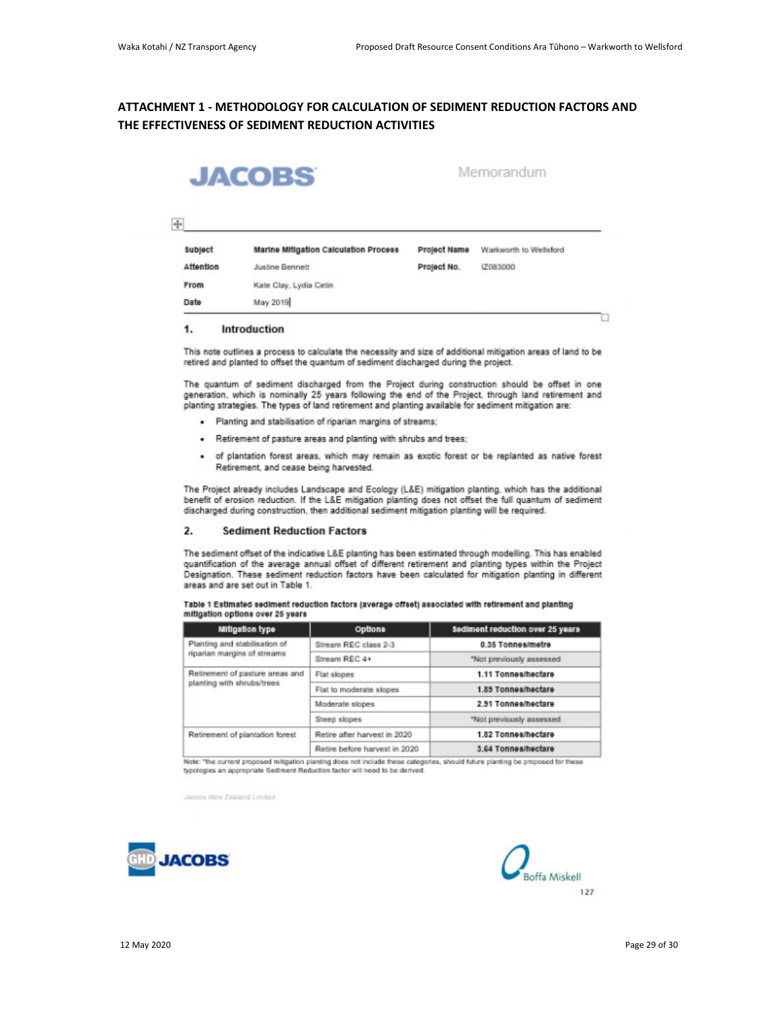# **ATTACHMENT 1 - METHODOLOGY FOR CALCULATION OF SEDIMENT REDUCTION FACTORS AND THE EFFECTIVENESS OF SEDIMENT REDUCTION ACTIVITIES**



Memorandum

### $\frac{1}{2}$

| <b>Subject</b> | Marine Mitigation Calculation Process | Project Name | Warkworth to Wellsford |
|----------------|---------------------------------------|--------------|------------------------|
| Attention      | <b>Justine Bennett</b>                | Project No.  | IZ083000               |
| From           | Kate Clay, Lydia Cetin                |              |                        |
| Date           | May 2019                              |              |                        |

### 1. Introduction

This note outlines a process to calculate the necessity and size of additional mitigation areas of land to be retired and planted to offset the quantum of sediment discharged during the project.

The quantum of sediment discharged from the Project during construction should be offset in one<br>generation, which is nominally 25 years following the end of the Project, through land retirement and planting strategies. The types of land retirement and planting available for sediment mitigation are:

- · Planting and stabilisation of riparian margins of streams;
- . Retirement of pasture areas and planting with shrubs and trees;
- · of plantation forest areas, which may remain as exotic forest or be replanted as native forest Retirement, and cease being harvested.

The Project already includes Landscape and Ecology (L&E) mitigation planting, which has the additional benefit of erosion reduction. If the L&E mitigation planting does not offset the full quantum of sediment discharged during construction, then additional sediment mitigation planting will be required.

### $2.$ **Sediment Reduction Factors**

The sediment offset of the indicative L&E planting has been estimated through modelling. This has enabled quantification of the average annual offset of different retirement and planting types within the Project Designation. These sediment reduction factors have been calculated for mitigation planting in different areas and are set out in Table 1.

|                                  | Table 1 Estimated sediment reduction factors (average offset) associated with retirement and planting |  |  |
|----------------------------------|-------------------------------------------------------------------------------------------------------|--|--|
| mitigation options over 25 years |                                                                                                       |  |  |

| Stream REC class 2-3          | 0.35 Tonnes/metre        |  |
|-------------------------------|--------------------------|--|
| Stream REC 4+                 | "Not previously assessed |  |
| Flat slopes                   | 1.11 Tonnes/hectare      |  |
| Flat to moderate slopes       | 1.89 Tonnes/hectare      |  |
| Moderate slopes               | 2.91 Tonnes/hectare      |  |
| Steep slopes                  | "Not previously assessed |  |
| Retire after harvest in 2020  | 1.82 Tonnes/hectare      |  |
| Retire before harvest in 2020 | 3.64 Tonnes/hectare      |  |
|                               |                          |  |

Note: "the current proposed mitigation planting does not include these categories, should future planting be proposed for these<br>typologies an appropriate Sediment Reduction factor will need to be derived.

Jacobs New Zealand Limited